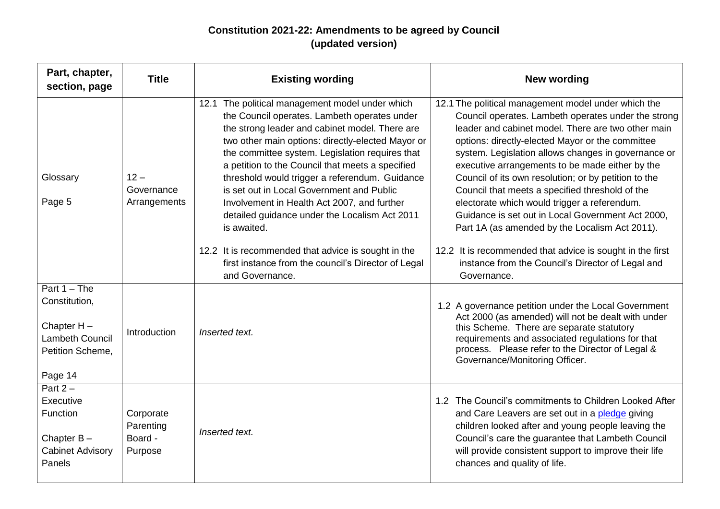## **Constitution 2021-22: Amendments to be agreed by Council (updated version)**

| Part, chapter,<br>section, page                                                                    | <b>Title</b>                                 | <b>Existing wording</b>                                                                                                                                                                                                                                                                                                                                                                                                                                                                                                                                                                                                                                      | <b>New wording</b>                                                                                                                                                                                                                                                                                                                                                                                                                                                                                                                                                                                                                                                                                                                |
|----------------------------------------------------------------------------------------------------|----------------------------------------------|--------------------------------------------------------------------------------------------------------------------------------------------------------------------------------------------------------------------------------------------------------------------------------------------------------------------------------------------------------------------------------------------------------------------------------------------------------------------------------------------------------------------------------------------------------------------------------------------------------------------------------------------------------------|-----------------------------------------------------------------------------------------------------------------------------------------------------------------------------------------------------------------------------------------------------------------------------------------------------------------------------------------------------------------------------------------------------------------------------------------------------------------------------------------------------------------------------------------------------------------------------------------------------------------------------------------------------------------------------------------------------------------------------------|
| Glossary<br>Page 5                                                                                 | $12 -$<br>Governance<br>Arrangements         | 12.1 The political management model under which<br>the Council operates. Lambeth operates under<br>the strong leader and cabinet model. There are<br>two other main options: directly-elected Mayor or<br>the committee system. Legislation requires that<br>a petition to the Council that meets a specified<br>threshold would trigger a referendum. Guidance<br>is set out in Local Government and Public<br>Involvement in Health Act 2007, and further<br>detailed guidance under the Localism Act 2011<br>is awaited.<br>12.2 It is recommended that advice is sought in the<br>first instance from the council's Director of Legal<br>and Governance. | 12.1 The political management model under which the<br>Council operates. Lambeth operates under the strong<br>leader and cabinet model. There are two other main<br>options: directly-elected Mayor or the committee<br>system. Legislation allows changes in governance or<br>executive arrangements to be made either by the<br>Council of its own resolution; or by petition to the<br>Council that meets a specified threshold of the<br>electorate which would trigger a referendum.<br>Guidance is set out in Local Government Act 2000,<br>Part 1A (as amended by the Localism Act 2011).<br>12.2 It is recommended that advice is sought in the first<br>instance from the Council's Director of Legal and<br>Governance. |
| Part $1 -$ The<br>Constitution,<br>Chapter $H -$<br>Lambeth Council<br>Petition Scheme,<br>Page 14 | Introduction                                 | Inserted text.                                                                                                                                                                                                                                                                                                                                                                                                                                                                                                                                                                                                                                               | 1.2 A governance petition under the Local Government<br>Act 2000 (as amended) will not be dealt with under<br>this Scheme. There are separate statutory<br>requirements and associated regulations for that<br>process. Please refer to the Director of Legal &<br>Governance/Monitoring Officer.                                                                                                                                                                                                                                                                                                                                                                                                                                 |
| Part $2-$<br>Executive<br>Function<br>Chapter $B -$<br><b>Cabinet Advisory</b><br>Panels           | Corporate<br>Parenting<br>Board -<br>Purpose | Inserted text.                                                                                                                                                                                                                                                                                                                                                                                                                                                                                                                                                                                                                                               | 1.2 The Council's commitments to Children Looked After<br>and Care Leavers are set out in a pledge giving<br>children looked after and young people leaving the<br>Council's care the guarantee that Lambeth Council<br>will provide consistent support to improve their life<br>chances and quality of life.                                                                                                                                                                                                                                                                                                                                                                                                                     |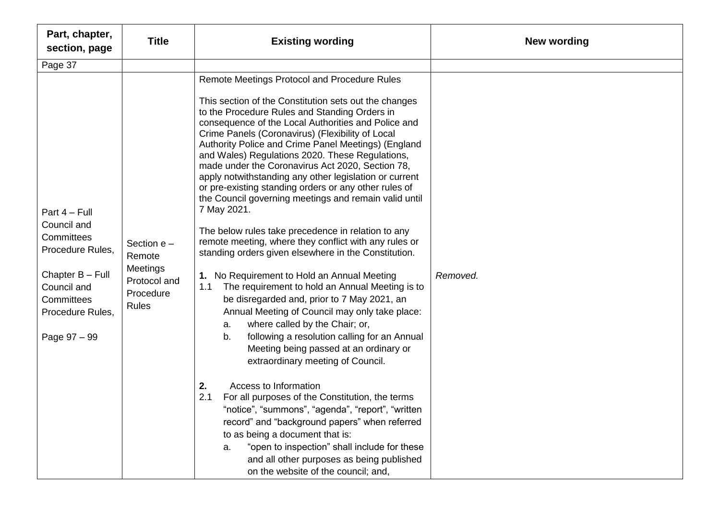| Part, chapter,<br>section, page                                                                                                                     | <b>Title</b>                                                                     | <b>Existing wording</b>                                                                                                                                                                                                                                                                                                                                                                                                                                                                                                                                                                                                                                                                                                                                                                                                                                                                                                                                                                                                                                                                                                                                                                                                                                                                                                                                                                                                                                                                                                                                              | New wording |
|-----------------------------------------------------------------------------------------------------------------------------------------------------|----------------------------------------------------------------------------------|----------------------------------------------------------------------------------------------------------------------------------------------------------------------------------------------------------------------------------------------------------------------------------------------------------------------------------------------------------------------------------------------------------------------------------------------------------------------------------------------------------------------------------------------------------------------------------------------------------------------------------------------------------------------------------------------------------------------------------------------------------------------------------------------------------------------------------------------------------------------------------------------------------------------------------------------------------------------------------------------------------------------------------------------------------------------------------------------------------------------------------------------------------------------------------------------------------------------------------------------------------------------------------------------------------------------------------------------------------------------------------------------------------------------------------------------------------------------------------------------------------------------------------------------------------------------|-------------|
| Page 37                                                                                                                                             |                                                                                  |                                                                                                                                                                                                                                                                                                                                                                                                                                                                                                                                                                                                                                                                                                                                                                                                                                                                                                                                                                                                                                                                                                                                                                                                                                                                                                                                                                                                                                                                                                                                                                      |             |
| Part 4 - Full<br>Council and<br>Committees<br>Procedure Rules,<br>Chapter B - Full<br>Council and<br>Committees<br>Procedure Rules,<br>Page 97 - 99 | Section $e -$<br>Remote<br>Meetings<br>Protocol and<br>Procedure<br><b>Rules</b> | Remote Meetings Protocol and Procedure Rules<br>This section of the Constitution sets out the changes<br>to the Procedure Rules and Standing Orders in<br>consequence of the Local Authorities and Police and<br>Crime Panels (Coronavirus) (Flexibility of Local<br>Authority Police and Crime Panel Meetings) (England<br>and Wales) Regulations 2020. These Regulations,<br>made under the Coronavirus Act 2020, Section 78,<br>apply notwithstanding any other legislation or current<br>or pre-existing standing orders or any other rules of<br>the Council governing meetings and remain valid until<br>7 May 2021.<br>The below rules take precedence in relation to any<br>remote meeting, where they conflict with any rules or<br>standing orders given elsewhere in the Constitution.<br>1. No Requirement to Hold an Annual Meeting<br>1.1<br>The requirement to hold an Annual Meeting is to<br>be disregarded and, prior to 7 May 2021, an<br>Annual Meeting of Council may only take place:<br>where called by the Chair; or,<br>a.<br>following a resolution calling for an Annual<br>b.<br>Meeting being passed at an ordinary or<br>extraordinary meeting of Council.<br>Access to Information<br>2.<br>For all purposes of the Constitution, the terms<br>2.1<br>"notice", "summons", "agenda", "report", "written<br>record" and "background papers" when referred<br>to as being a document that is:<br>"open to inspection" shall include for these<br>a.<br>and all other purposes as being published<br>on the website of the council; and, | Removed.    |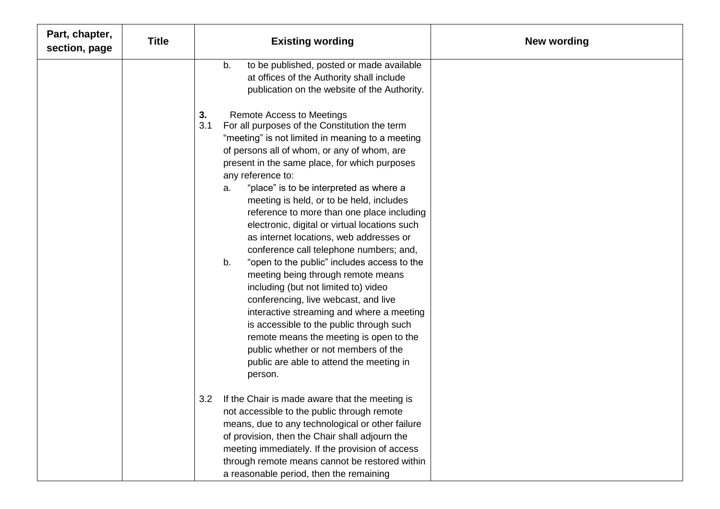| Part, chapter,<br>section, page | <b>Title</b> | <b>Existing wording</b>                                                                                                                                                                                                                                                                                                                                                                                                                                                                                                                                                                                                                                                                                                                                                                                                                                                                                                                                                 | <b>New wording</b> |
|---------------------------------|--------------|-------------------------------------------------------------------------------------------------------------------------------------------------------------------------------------------------------------------------------------------------------------------------------------------------------------------------------------------------------------------------------------------------------------------------------------------------------------------------------------------------------------------------------------------------------------------------------------------------------------------------------------------------------------------------------------------------------------------------------------------------------------------------------------------------------------------------------------------------------------------------------------------------------------------------------------------------------------------------|--------------------|
|                                 |              | to be published, posted or made available<br>b.<br>at offices of the Authority shall include<br>publication on the website of the Authority.                                                                                                                                                                                                                                                                                                                                                                                                                                                                                                                                                                                                                                                                                                                                                                                                                            |                    |
|                                 |              | <b>Remote Access to Meetings</b><br>3.<br>3.1<br>For all purposes of the Constitution the term<br>"meeting" is not limited in meaning to a meeting<br>of persons all of whom, or any of whom, are<br>present in the same place, for which purposes<br>any reference to:<br>"place" is to be interpreted as where a<br>a.<br>meeting is held, or to be held, includes<br>reference to more than one place including<br>electronic, digital or virtual locations such<br>as internet locations, web addresses or<br>conference call telephone numbers; and,<br>"open to the public" includes access to the<br>b.<br>meeting being through remote means<br>including (but not limited to) video<br>conferencing, live webcast, and live<br>interactive streaming and where a meeting<br>is accessible to the public through such<br>remote means the meeting is open to the<br>public whether or not members of the<br>public are able to attend the meeting in<br>person. |                    |
|                                 |              | 3.2<br>If the Chair is made aware that the meeting is<br>not accessible to the public through remote<br>means, due to any technological or other failure<br>of provision, then the Chair shall adjourn the<br>meeting immediately. If the provision of access<br>through remote means cannot be restored within<br>a reasonable period, then the remaining                                                                                                                                                                                                                                                                                                                                                                                                                                                                                                                                                                                                              |                    |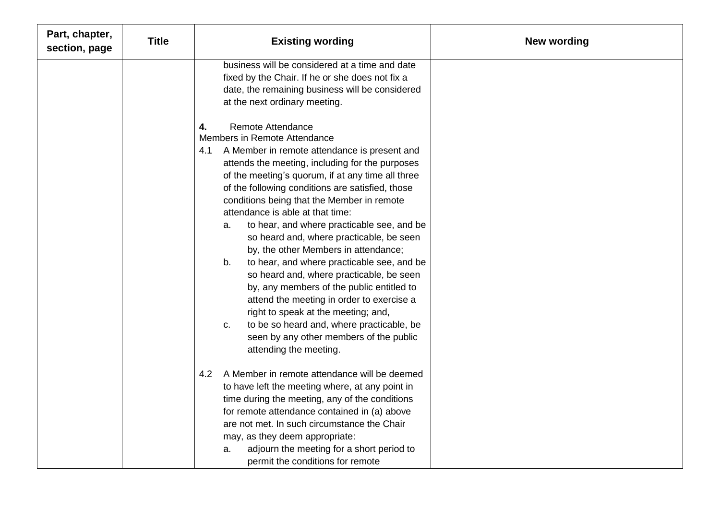| Part, chapter,<br>section, page | <b>Title</b> | <b>Existing wording</b>                                                                                                                                                                                                                                                                                                                                                                                                                                                                                                                                                                                                                                                                                                                                                                                                                                              | <b>New wording</b> |
|---------------------------------|--------------|----------------------------------------------------------------------------------------------------------------------------------------------------------------------------------------------------------------------------------------------------------------------------------------------------------------------------------------------------------------------------------------------------------------------------------------------------------------------------------------------------------------------------------------------------------------------------------------------------------------------------------------------------------------------------------------------------------------------------------------------------------------------------------------------------------------------------------------------------------------------|--------------------|
|                                 |              | business will be considered at a time and date<br>fixed by the Chair. If he or she does not fix a<br>date, the remaining business will be considered<br>at the next ordinary meeting.                                                                                                                                                                                                                                                                                                                                                                                                                                                                                                                                                                                                                                                                                |                    |
|                                 |              | <b>Remote Attendance</b><br>4.<br>Members in Remote Attendance<br>A Member in remote attendance is present and<br>4.1<br>attends the meeting, including for the purposes<br>of the meeting's quorum, if at any time all three<br>of the following conditions are satisfied, those<br>conditions being that the Member in remote<br>attendance is able at that time:<br>to hear, and where practicable see, and be<br>a.<br>so heard and, where practicable, be seen<br>by, the other Members in attendance;<br>to hear, and where practicable see, and be<br>b.<br>so heard and, where practicable, be seen<br>by, any members of the public entitled to<br>attend the meeting in order to exercise a<br>right to speak at the meeting; and,<br>to be so heard and, where practicable, be<br>C.<br>seen by any other members of the public<br>attending the meeting. |                    |
|                                 |              | 4.2 A Member in remote attendance will be deemed<br>to have left the meeting where, at any point in<br>time during the meeting, any of the conditions<br>for remote attendance contained in (a) above<br>are not met. In such circumstance the Chair<br>may, as they deem appropriate:<br>adjourn the meeting for a short period to<br>а.<br>permit the conditions for remote                                                                                                                                                                                                                                                                                                                                                                                                                                                                                        |                    |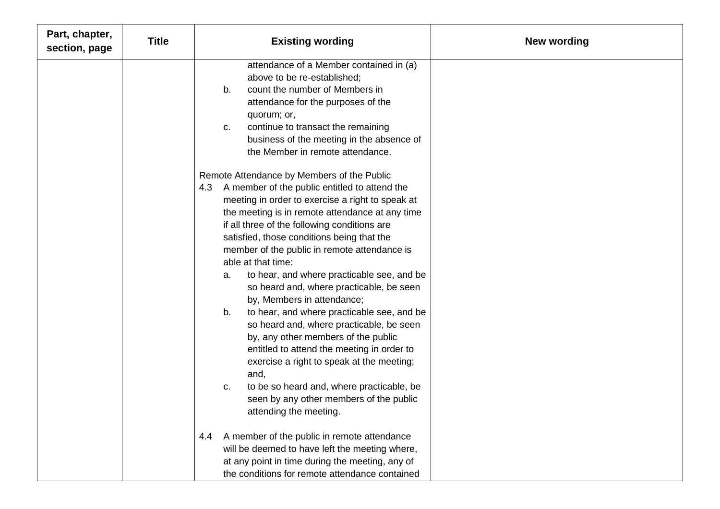| Part, chapter,<br>section, page | <b>Title</b> | <b>Existing wording</b>                                                                                                                                                                                                                                                                                                                                                                                                                                                                                                                                                                                                                                                                                                                                                                                                                                                    | <b>New wording</b> |
|---------------------------------|--------------|----------------------------------------------------------------------------------------------------------------------------------------------------------------------------------------------------------------------------------------------------------------------------------------------------------------------------------------------------------------------------------------------------------------------------------------------------------------------------------------------------------------------------------------------------------------------------------------------------------------------------------------------------------------------------------------------------------------------------------------------------------------------------------------------------------------------------------------------------------------------------|--------------------|
|                                 |              | attendance of a Member contained in (a)<br>above to be re-established;<br>count the number of Members in<br>b.<br>attendance for the purposes of the<br>quorum; or,<br>continue to transact the remaining<br>C.<br>business of the meeting in the absence of<br>the Member in remote attendance.                                                                                                                                                                                                                                                                                                                                                                                                                                                                                                                                                                           |                    |
|                                 |              | Remote Attendance by Members of the Public<br>4.3 A member of the public entitled to attend the<br>meeting in order to exercise a right to speak at<br>the meeting is in remote attendance at any time<br>if all three of the following conditions are<br>satisfied, those conditions being that the<br>member of the public in remote attendance is<br>able at that time:<br>to hear, and where practicable see, and be<br>a.<br>so heard and, where practicable, be seen<br>by, Members in attendance;<br>to hear, and where practicable see, and be<br>b.<br>so heard and, where practicable, be seen<br>by, any other members of the public<br>entitled to attend the meeting in order to<br>exercise a right to speak at the meeting;<br>and,<br>to be so heard and, where practicable, be<br>C.<br>seen by any other members of the public<br>attending the meeting. |                    |
|                                 |              | A member of the public in remote attendance<br>4.4<br>will be deemed to have left the meeting where,<br>at any point in time during the meeting, any of<br>the conditions for remote attendance contained                                                                                                                                                                                                                                                                                                                                                                                                                                                                                                                                                                                                                                                                  |                    |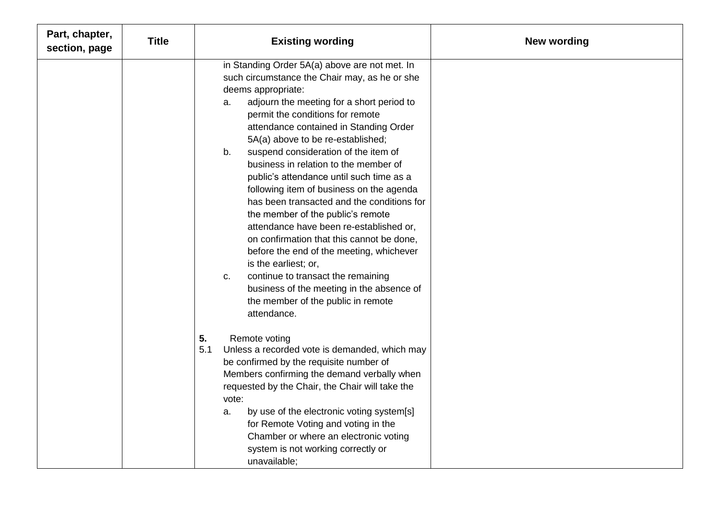| Part, chapter,<br>section, page | <b>Title</b> | <b>Existing wording</b>                                                                                                                                                                                                                                                                                                                                                                                                                                                                                                                                                                                                                                                                                                                                                                                                                                                | <b>New wording</b> |
|---------------------------------|--------------|------------------------------------------------------------------------------------------------------------------------------------------------------------------------------------------------------------------------------------------------------------------------------------------------------------------------------------------------------------------------------------------------------------------------------------------------------------------------------------------------------------------------------------------------------------------------------------------------------------------------------------------------------------------------------------------------------------------------------------------------------------------------------------------------------------------------------------------------------------------------|--------------------|
|                                 |              | in Standing Order 5A(a) above are not met. In<br>such circumstance the Chair may, as he or she<br>deems appropriate:<br>adjourn the meeting for a short period to<br>a.<br>permit the conditions for remote<br>attendance contained in Standing Order<br>5A(a) above to be re-established;<br>suspend consideration of the item of<br>b.<br>business in relation to the member of<br>public's attendance until such time as a<br>following item of business on the agenda<br>has been transacted and the conditions for<br>the member of the public's remote<br>attendance have been re-established or,<br>on confirmation that this cannot be done,<br>before the end of the meeting, whichever<br>is the earliest; or,<br>continue to transact the remaining<br>C.<br>business of the meeting in the absence of<br>the member of the public in remote<br>attendance. |                    |
|                                 |              | 5.<br>Remote voting<br>5.1<br>Unless a recorded vote is demanded, which may<br>be confirmed by the requisite number of<br>Members confirming the demand verbally when<br>requested by the Chair, the Chair will take the<br>vote:<br>by use of the electronic voting system[s]<br>a.<br>for Remote Voting and voting in the<br>Chamber or where an electronic voting<br>system is not working correctly or<br>unavailable;                                                                                                                                                                                                                                                                                                                                                                                                                                             |                    |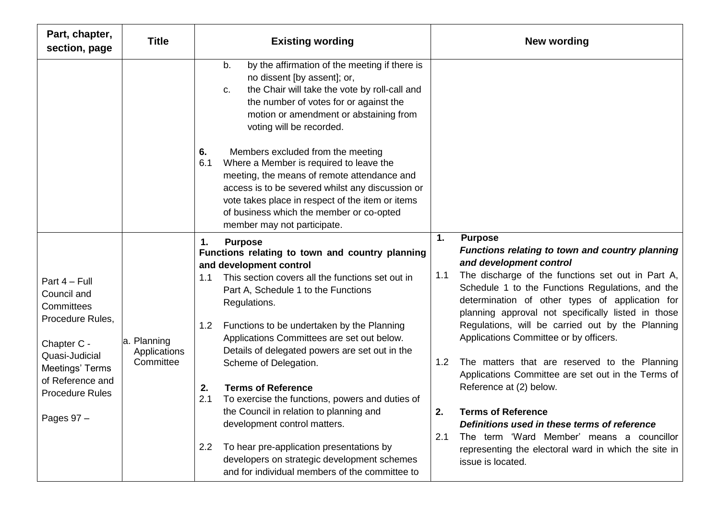| Part, chapter,<br>section, page                                                                                                                                                  | <b>Title</b>                             | <b>Existing wording</b>                                                                                                                                                                                                                                                                                                                                                                                                                                                                                                                                                                                                                                                                                                        | <b>New wording</b>                                                                                                                                                                                                                                                                                                                                                                                                                                                                                                                                                                                                                                                                                                                                                              |
|----------------------------------------------------------------------------------------------------------------------------------------------------------------------------------|------------------------------------------|--------------------------------------------------------------------------------------------------------------------------------------------------------------------------------------------------------------------------------------------------------------------------------------------------------------------------------------------------------------------------------------------------------------------------------------------------------------------------------------------------------------------------------------------------------------------------------------------------------------------------------------------------------------------------------------------------------------------------------|---------------------------------------------------------------------------------------------------------------------------------------------------------------------------------------------------------------------------------------------------------------------------------------------------------------------------------------------------------------------------------------------------------------------------------------------------------------------------------------------------------------------------------------------------------------------------------------------------------------------------------------------------------------------------------------------------------------------------------------------------------------------------------|
|                                                                                                                                                                                  |                                          | by the affirmation of the meeting if there is<br>b.<br>no dissent [by assent]; or,<br>the Chair will take the vote by roll-call and<br>$C_{\cdot}$<br>the number of votes for or against the<br>motion or amendment or abstaining from<br>voting will be recorded.                                                                                                                                                                                                                                                                                                                                                                                                                                                             |                                                                                                                                                                                                                                                                                                                                                                                                                                                                                                                                                                                                                                                                                                                                                                                 |
|                                                                                                                                                                                  |                                          | Members excluded from the meeting<br>6.<br>Where a Member is required to leave the<br>6.1<br>meeting, the means of remote attendance and<br>access is to be severed whilst any discussion or<br>vote takes place in respect of the item or items<br>of business which the member or co-opted<br>member may not participate.                                                                                                                                                                                                                                                                                                                                                                                                    |                                                                                                                                                                                                                                                                                                                                                                                                                                                                                                                                                                                                                                                                                                                                                                                 |
| Part 4 - Full<br>Council and<br>Committees<br>Procedure Rules,<br>Chapter C -<br>Quasi-Judicial<br>Meetings' Terms<br>of Reference and<br><b>Procedure Rules</b><br>Pages $97 -$ | a. Planning<br>Applications<br>Committee | <b>Purpose</b><br>1.<br>Functions relating to town and country planning<br>and development control<br>This section covers all the functions set out in<br>1.1<br>Part A, Schedule 1 to the Functions<br>Regulations.<br>Functions to be undertaken by the Planning<br>1.2<br>Applications Committees are set out below.<br>Details of delegated powers are set out in the<br>Scheme of Delegation.<br><b>Terms of Reference</b><br>2.<br>2.1<br>To exercise the functions, powers and duties of<br>the Council in relation to planning and<br>development control matters.<br>To hear pre-application presentations by<br>2.2<br>developers on strategic development schemes<br>and for individual members of the committee to | 1.<br><b>Purpose</b><br>Functions relating to town and country planning<br>and development control<br>The discharge of the functions set out in Part A,<br>1.1<br>Schedule 1 to the Functions Regulations, and the<br>determination of other types of application for<br>planning approval not specifically listed in those<br>Regulations, will be carried out by the Planning<br>Applications Committee or by officers.<br>1.2<br>The matters that are reserved to the Planning<br>Applications Committee are set out in the Terms of<br>Reference at (2) below.<br>2.<br>Terms of Reference<br>Definitions used in these terms of reference<br>2.1<br>The term 'Ward Member' means a councillor<br>representing the electoral ward in which the site in<br>issue is located. |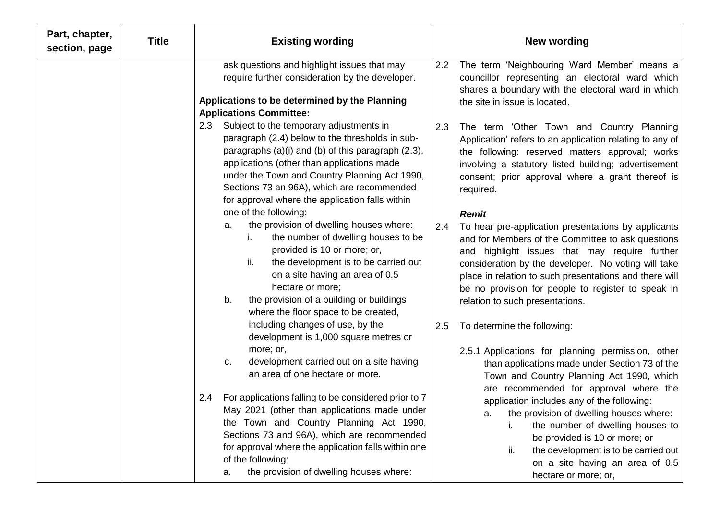| Part, chapter,<br>section, page | <b>Title</b> | <b>Existing wording</b><br><b>New wording</b>                                                                                                                                                                                                                                                                                                                                                                                                                                                                                                                                                                                                                                                                                                    |
|---------------------------------|--------------|--------------------------------------------------------------------------------------------------------------------------------------------------------------------------------------------------------------------------------------------------------------------------------------------------------------------------------------------------------------------------------------------------------------------------------------------------------------------------------------------------------------------------------------------------------------------------------------------------------------------------------------------------------------------------------------------------------------------------------------------------|
|                                 |              | ask questions and highlight issues that may<br>The term 'Neighbouring Ward Member' means a<br>2.2<br>require further consideration by the developer.<br>councillor representing an electoral ward which<br>shares a boundary with the electoral ward in which<br>Applications to be determined by the Planning<br>the site in issue is located.<br><b>Applications Committee:</b>                                                                                                                                                                                                                                                                                                                                                                |
|                                 |              | Subject to the temporary adjustments in<br>2.3<br>2.3<br>The term 'Other Town and Country Planning<br>paragraph (2.4) below to the thresholds in sub-<br>Application' refers to an application relating to any of<br>paragraphs (a)(i) and (b) of this paragraph (2.3),<br>the following: reserved matters approval; works<br>applications (other than applications made<br>involving a statutory listed building; advertisement<br>under the Town and Country Planning Act 1990,<br>consent; prior approval where a grant thereof is<br>Sections 73 an 96A), which are recommended<br>required.<br>for approval where the application falls within                                                                                              |
|                                 |              | one of the following:<br><b>Remit</b><br>the provision of dwelling houses where:<br>а.<br>2.4<br>To hear pre-application presentations by applicants<br>the number of dwelling houses to be<br>i.<br>and for Members of the Committee to ask questions<br>provided is 10 or more; or,<br>and highlight issues that may require further<br>ii.<br>the development is to be carried out<br>consideration by the developer. No voting will take<br>on a site having an area of 0.5<br>place in relation to such presentations and there will<br>hectare or more;<br>be no provision for people to register to speak in<br>the provision of a building or buildings<br>b.<br>relation to such presentations.<br>where the floor space to be created, |
|                                 |              | including changes of use, by the<br>To determine the following:<br>2.5<br>development is 1,000 square metres or<br>more; or,<br>2.5.1 Applications for planning permission, other<br>development carried out on a site having<br>C.<br>than applications made under Section 73 of the<br>an area of one hectare or more.<br>Town and Country Planning Act 1990, which                                                                                                                                                                                                                                                                                                                                                                            |
|                                 |              | are recommended for approval where the<br>For applications falling to be considered prior to 7<br>2.4<br>application includes any of the following:<br>May 2021 (other than applications made under<br>the provision of dwelling houses where:<br>a.<br>the Town and Country Planning Act 1990,<br>the number of dwelling houses to<br>Sections 73 and 96A), which are recommended<br>be provided is 10 or more; or<br>for approval where the application falls within one<br>the development is to be carried out<br>ii.<br>of the following:<br>on a site having an area of 0.5<br>the provision of dwelling houses where:<br>a.<br>hectare or more; or,                                                                                       |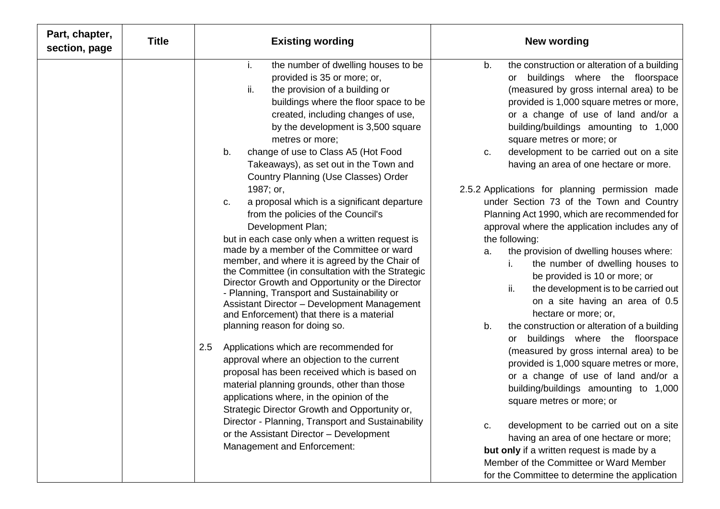| Part, chapter,<br>section, page | <b>Title</b> | <b>Existing wording</b>                                                                                                                                                                                                                                                                                                                                                                                                                                                                                                                                                                                                                                                                                                                                                                                                                                                                                                                                                                                                                                                                                                                                                                                                                                                                                                                                                                | <b>New wording</b>                                                                                                                                                                                                                                                                                                                                                                                                                                                                                                                                                                                                                                                                                                                                                                                                                                                                                                                                                                                                                                                                                                                                                                                                                                                                                                                                                            |
|---------------------------------|--------------|----------------------------------------------------------------------------------------------------------------------------------------------------------------------------------------------------------------------------------------------------------------------------------------------------------------------------------------------------------------------------------------------------------------------------------------------------------------------------------------------------------------------------------------------------------------------------------------------------------------------------------------------------------------------------------------------------------------------------------------------------------------------------------------------------------------------------------------------------------------------------------------------------------------------------------------------------------------------------------------------------------------------------------------------------------------------------------------------------------------------------------------------------------------------------------------------------------------------------------------------------------------------------------------------------------------------------------------------------------------------------------------|-------------------------------------------------------------------------------------------------------------------------------------------------------------------------------------------------------------------------------------------------------------------------------------------------------------------------------------------------------------------------------------------------------------------------------------------------------------------------------------------------------------------------------------------------------------------------------------------------------------------------------------------------------------------------------------------------------------------------------------------------------------------------------------------------------------------------------------------------------------------------------------------------------------------------------------------------------------------------------------------------------------------------------------------------------------------------------------------------------------------------------------------------------------------------------------------------------------------------------------------------------------------------------------------------------------------------------------------------------------------------------|
|                                 |              | the number of dwelling houses to be<br>Ť.<br>provided is 35 or more; or,<br>ii.<br>the provision of a building or<br>buildings where the floor space to be<br>created, including changes of use,<br>by the development is 3,500 square<br>metres or more;<br>change of use to Class A5 (Hot Food<br>b.<br>Takeaways), as set out in the Town and<br>Country Planning (Use Classes) Order<br>1987; or,<br>a proposal which is a significant departure<br>C.<br>from the policies of the Council's<br>Development Plan;<br>but in each case only when a written request is<br>made by a member of the Committee or ward<br>member, and where it is agreed by the Chair of<br>the Committee (in consultation with the Strategic<br>Director Growth and Opportunity or the Director<br>- Planning, Transport and Sustainability or<br>Assistant Director - Development Management<br>and Enforcement) that there is a material<br>planning reason for doing so.<br>2.5<br>Applications which are recommended for<br>approval where an objection to the current<br>proposal has been received which is based on<br>material planning grounds, other than those<br>applications where, in the opinion of the<br>Strategic Director Growth and Opportunity or,<br>Director - Planning, Transport and Sustainability<br>or the Assistant Director - Development<br>Management and Enforcement: | the construction or alteration of a building<br>b.<br>or buildings where the floorspace<br>(measured by gross internal area) to be<br>provided is 1,000 square metres or more,<br>or a change of use of land and/or a<br>building/buildings amounting to 1,000<br>square metres or more; or<br>development to be carried out on a site<br>C.<br>having an area of one hectare or more.<br>2.5.2 Applications for planning permission made<br>under Section 73 of the Town and Country<br>Planning Act 1990, which are recommended for<br>approval where the application includes any of<br>the following:<br>the provision of dwelling houses where:<br>a.<br>the number of dwelling houses to<br>be provided is 10 or more; or<br>ii.<br>the development is to be carried out<br>on a site having an area of 0.5<br>hectare or more; or,<br>b.<br>the construction or alteration of a building<br>or buildings where the floorspace<br>(measured by gross internal area) to be<br>provided is 1,000 square metres or more,<br>or a change of use of land and/or a<br>building/buildings amounting to 1,000<br>square metres or more; or<br>development to be carried out on a site<br>c.<br>having an area of one hectare or more;<br>but only if a written request is made by a<br>Member of the Committee or Ward Member<br>for the Committee to determine the application |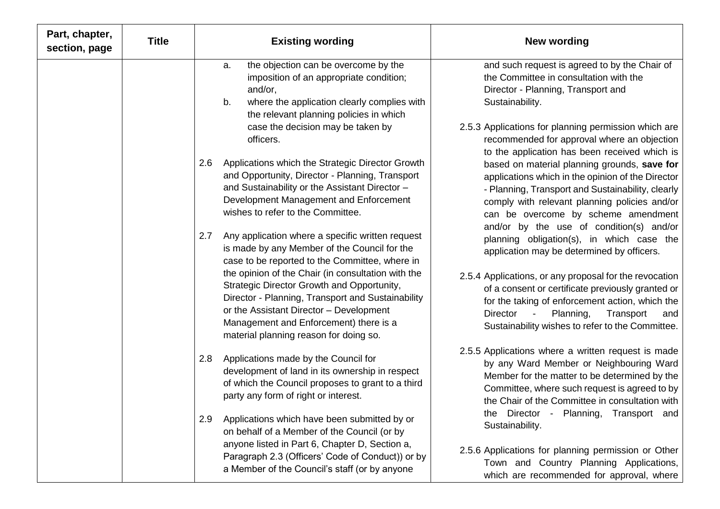| Part, chapter,<br>section, page | Title | <b>Existing wording</b>                                                                                                                                                                                                                                                              | <b>New wording</b>                                                                                                                                                                                                                                                                |
|---------------------------------|-------|--------------------------------------------------------------------------------------------------------------------------------------------------------------------------------------------------------------------------------------------------------------------------------------|-----------------------------------------------------------------------------------------------------------------------------------------------------------------------------------------------------------------------------------------------------------------------------------|
|                                 |       | the objection can be overcome by the<br>a.<br>imposition of an appropriate condition;<br>and/or,<br>b.<br>where the application clearly complies with<br>the relevant planning policies in which                                                                                     | and such request is agreed to by the Chair of<br>the Committee in consultation with the<br>Director - Planning, Transport and<br>Sustainability.                                                                                                                                  |
|                                 |       | case the decision may be taken by<br>officers.                                                                                                                                                                                                                                       | 2.5.3 Applications for planning permission which are<br>recommended for approval where an objection<br>to the application has been received which is                                                                                                                              |
|                                 |       | 2.6<br>Applications which the Strategic Director Growth<br>and Opportunity, Director - Planning, Transport<br>and Sustainability or the Assistant Director -<br>Development Management and Enforcement<br>wishes to refer to the Committee.                                          | based on material planning grounds, save for<br>applications which in the opinion of the Director<br>- Planning, Transport and Sustainability, clearly<br>comply with relevant planning policies and/or<br>can be overcome by scheme amendment                                    |
|                                 |       | Any application where a specific written request<br>2.7<br>is made by any Member of the Council for the<br>case to be reported to the Committee, where in                                                                                                                            | and/or by the use of condition(s) and/or<br>planning obligation(s), in which case the<br>application may be determined by officers.                                                                                                                                               |
|                                 |       | the opinion of the Chair (in consultation with the<br>Strategic Director Growth and Opportunity,<br>Director - Planning, Transport and Sustainability<br>or the Assistant Director - Development<br>Management and Enforcement) there is a<br>material planning reason for doing so. | 2.5.4 Applications, or any proposal for the revocation<br>of a consent or certificate previously granted or<br>for the taking of enforcement action, which the<br>Planning,<br>Transport<br>Director<br>and<br>$\blacksquare$<br>Sustainability wishes to refer to the Committee. |
|                                 |       | Applications made by the Council for<br>2.8<br>development of land in its ownership in respect<br>of which the Council proposes to grant to a third<br>party any form of right or interest.                                                                                          | 2.5.5 Applications where a written request is made<br>by any Ward Member or Neighbouring Ward<br>Member for the matter to be determined by the<br>Committee, where such request is agreed to by<br>the Chair of the Committee in consultation with                                |
|                                 |       | Applications which have been submitted by or<br>2.9<br>on behalf of a Member of the Council (or by<br>anyone listed in Part 6, Chapter D, Section a,                                                                                                                                 | the Director<br>Planning,<br>Transport and<br>$\sim$<br>Sustainability.                                                                                                                                                                                                           |
|                                 |       | Paragraph 2.3 (Officers' Code of Conduct)) or by<br>a Member of the Council's staff (or by anyone                                                                                                                                                                                    | 2.5.6 Applications for planning permission or Other<br>Town and Country Planning Applications,<br>which are recommended for approval, where                                                                                                                                       |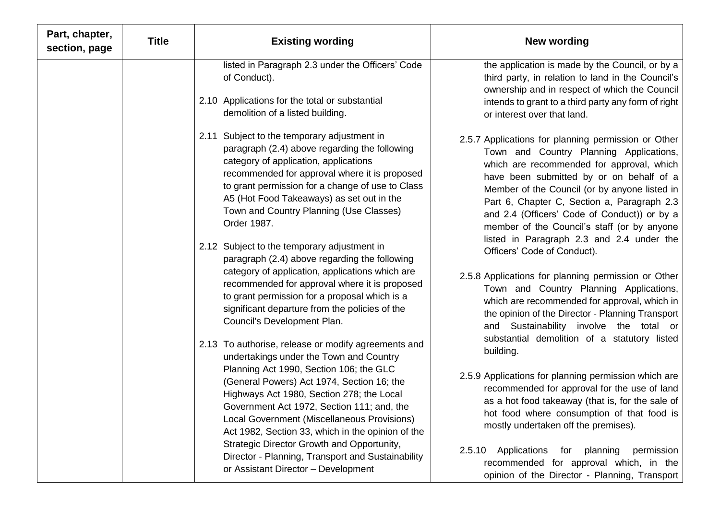| Part, chapter,<br>section, page | <b>Title</b> | <b>Existing wording</b>                                                                                                                                                                                                                                                                                                                                                                | New wording                                                                                                                                                                                                                                                                                                                                                                            |
|---------------------------------|--------------|----------------------------------------------------------------------------------------------------------------------------------------------------------------------------------------------------------------------------------------------------------------------------------------------------------------------------------------------------------------------------------------|----------------------------------------------------------------------------------------------------------------------------------------------------------------------------------------------------------------------------------------------------------------------------------------------------------------------------------------------------------------------------------------|
|                                 |              | listed in Paragraph 2.3 under the Officers' Code<br>of Conduct).                                                                                                                                                                                                                                                                                                                       | the application is made by the Council, or by a<br>third party, in relation to land in the Council's<br>ownership and in respect of which the Council                                                                                                                                                                                                                                  |
|                                 |              | 2.10 Applications for the total or substantial<br>demolition of a listed building.                                                                                                                                                                                                                                                                                                     | intends to grant to a third party any form of right<br>or interest over that land.                                                                                                                                                                                                                                                                                                     |
|                                 |              | 2.11 Subject to the temporary adjustment in<br>paragraph (2.4) above regarding the following<br>category of application, applications<br>recommended for approval where it is proposed<br>to grant permission for a change of use to Class<br>A5 (Hot Food Takeaways) as set out in the<br>Town and Country Planning (Use Classes)<br>Order 1987.                                      | 2.5.7 Applications for planning permission or Other<br>Town and Country Planning Applications,<br>which are recommended for approval, which<br>have been submitted by or on behalf of a<br>Member of the Council (or by anyone listed in<br>Part 6, Chapter C, Section a, Paragraph 2.3<br>and 2.4 (Officers' Code of Conduct)) or by a<br>member of the Council's staff (or by anyone |
|                                 |              | 2.12 Subject to the temporary adjustment in<br>paragraph (2.4) above regarding the following<br>category of application, applications which are<br>recommended for approval where it is proposed<br>to grant permission for a proposal which is a<br>significant departure from the policies of the<br>Council's Development Plan.                                                     | listed in Paragraph 2.3 and 2.4 under the<br>Officers' Code of Conduct).<br>2.5.8 Applications for planning permission or Other<br>Town and Country Planning Applications,<br>which are recommended for approval, which in<br>the opinion of the Director - Planning Transport<br>and Sustainability involve the total or                                                              |
|                                 |              | 2.13 To authorise, release or modify agreements and<br>undertakings under the Town and Country<br>Planning Act 1990, Section 106; the GLC<br>(General Powers) Act 1974, Section 16; the<br>Highways Act 1980, Section 278; the Local<br>Government Act 1972, Section 111; and, the<br>Local Government (Miscellaneous Provisions)<br>Act 1982, Section 33, which in the opinion of the | substantial demolition of a statutory listed<br>building.<br>2.5.9 Applications for planning permission which are<br>recommended for approval for the use of land<br>as a hot food takeaway (that is, for the sale of<br>hot food where consumption of that food is<br>mostly undertaken off the premises).                                                                            |
|                                 |              | Strategic Director Growth and Opportunity,<br>Director - Planning, Transport and Sustainability<br>or Assistant Director - Development                                                                                                                                                                                                                                                 | Applications<br>2.5.10<br>planning<br>permission<br>for<br>recommended for approval which, in the<br>opinion of the Director - Planning, Transport                                                                                                                                                                                                                                     |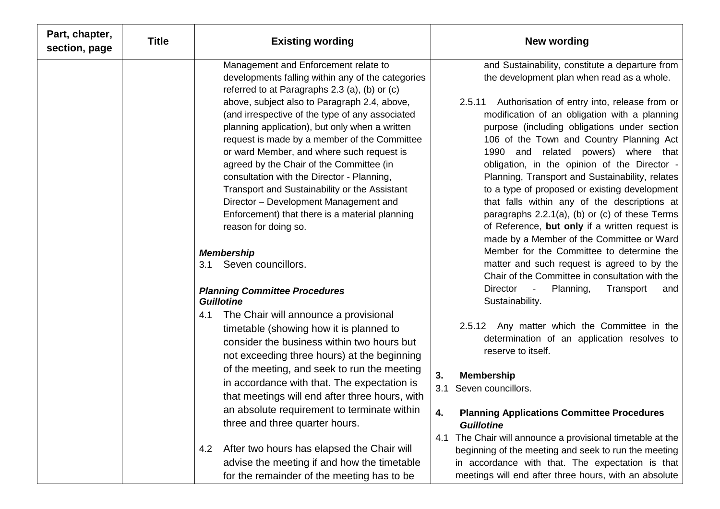| Part, chapter,<br>section, page | <b>Title</b> | <b>Existing wording</b>                                                                                                                                                                                                                                                                                                                                                                                                                                                                                                               | <b>New wording</b>                                                                                                                                                                                                                                                                                                                                                                                                                                                                                     |
|---------------------------------|--------------|---------------------------------------------------------------------------------------------------------------------------------------------------------------------------------------------------------------------------------------------------------------------------------------------------------------------------------------------------------------------------------------------------------------------------------------------------------------------------------------------------------------------------------------|--------------------------------------------------------------------------------------------------------------------------------------------------------------------------------------------------------------------------------------------------------------------------------------------------------------------------------------------------------------------------------------------------------------------------------------------------------------------------------------------------------|
|                                 |              | Management and Enforcement relate to<br>developments falling within any of the categories                                                                                                                                                                                                                                                                                                                                                                                                                                             | and Sustainability, constitute a departure from<br>the development plan when read as a whole.                                                                                                                                                                                                                                                                                                                                                                                                          |
|                                 |              | referred to at Paragraphs 2.3 (a), (b) or (c)<br>above, subject also to Paragraph 2.4, above,<br>(and irrespective of the type of any associated<br>planning application), but only when a written<br>request is made by a member of the Committee<br>or ward Member, and where such request is<br>agreed by the Chair of the Committee (in<br>consultation with the Director - Planning,<br>Transport and Sustainability or the Assistant<br>Director - Development Management and<br>Enforcement) that there is a material planning | Authorisation of entry into, release from or<br>2.5.11<br>modification of an obligation with a planning<br>purpose (including obligations under section<br>106 of the Town and Country Planning Act<br>1990 and<br>related powers) where that<br>obligation, in the opinion of the Director -<br>Planning, Transport and Sustainability, relates<br>to a type of proposed or existing development<br>that falls within any of the descriptions at<br>paragraphs $2.2.1(a)$ , (b) or (c) of these Terms |
|                                 |              | reason for doing so.                                                                                                                                                                                                                                                                                                                                                                                                                                                                                                                  | of Reference, but only if a written request is<br>made by a Member of the Committee or Ward<br>Member for the Committee to determine the                                                                                                                                                                                                                                                                                                                                                               |
|                                 |              | <b>Membership</b><br>Seven councillors.<br>3.1                                                                                                                                                                                                                                                                                                                                                                                                                                                                                        | matter and such request is agreed to by the<br>Chair of the Committee in consultation with the                                                                                                                                                                                                                                                                                                                                                                                                         |
|                                 |              | <b>Planning Committee Procedures</b><br><b>Guillotine</b>                                                                                                                                                                                                                                                                                                                                                                                                                                                                             | Director -<br>Planning,<br>Transport<br>and<br>Sustainability.                                                                                                                                                                                                                                                                                                                                                                                                                                         |
|                                 |              | The Chair will announce a provisional<br>4.1<br>timetable (showing how it is planned to<br>consider the business within two hours but<br>not exceeding three hours) at the beginning                                                                                                                                                                                                                                                                                                                                                  | 2.5.12 Any matter which the Committee in the<br>determination of an application resolves to<br>reserve to itself.                                                                                                                                                                                                                                                                                                                                                                                      |
|                                 |              | of the meeting, and seek to run the meeting<br>in accordance with that. The expectation is<br>that meetings will end after three hours, with                                                                                                                                                                                                                                                                                                                                                                                          | <b>Membership</b><br>3.<br>3.1 Seven councillors.                                                                                                                                                                                                                                                                                                                                                                                                                                                      |
|                                 |              | an absolute requirement to terminate within<br>three and three quarter hours.                                                                                                                                                                                                                                                                                                                                                                                                                                                         | <b>Planning Applications Committee Procedures</b><br>4.<br><b>Guillotine</b>                                                                                                                                                                                                                                                                                                                                                                                                                           |
|                                 |              | After two hours has elapsed the Chair will<br>4.2<br>advise the meeting if and how the timetable<br>for the remainder of the meeting has to be                                                                                                                                                                                                                                                                                                                                                                                        | The Chair will announce a provisional timetable at the<br>4.1<br>beginning of the meeting and seek to run the meeting<br>in accordance with that. The expectation is that<br>meetings will end after three hours, with an absolute                                                                                                                                                                                                                                                                     |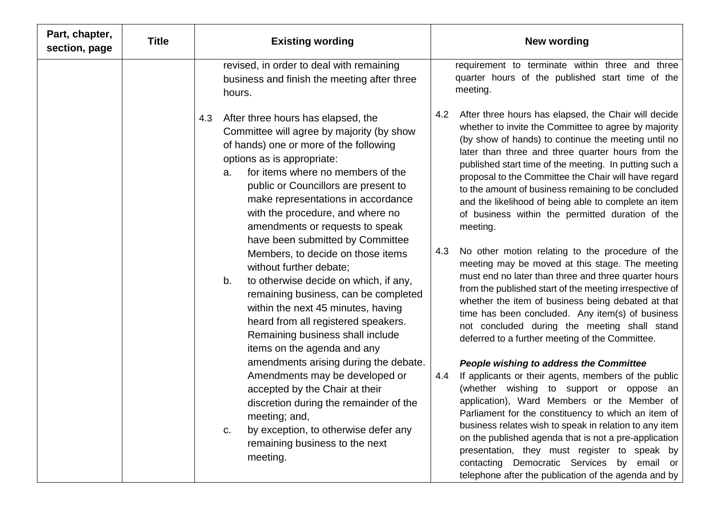| Part, chapter,<br>section, page | <b>Title</b> | <b>Existing wording</b>                                                                                                                                                                                                                                                                                                                                                                                                                                                                                                                                                                                                                                                                                                                                                                                                                                                                                                                                                       | <b>New wording</b>                                                                                                                                                                                                                                                                                                                                                                                                                                                                                                                                                                                                                                                                                                                                                                                                                                                                                                                                                                                                                                                                                                                                                                                                                                                                                                                                                                                                                                                                                                  |
|---------------------------------|--------------|-------------------------------------------------------------------------------------------------------------------------------------------------------------------------------------------------------------------------------------------------------------------------------------------------------------------------------------------------------------------------------------------------------------------------------------------------------------------------------------------------------------------------------------------------------------------------------------------------------------------------------------------------------------------------------------------------------------------------------------------------------------------------------------------------------------------------------------------------------------------------------------------------------------------------------------------------------------------------------|---------------------------------------------------------------------------------------------------------------------------------------------------------------------------------------------------------------------------------------------------------------------------------------------------------------------------------------------------------------------------------------------------------------------------------------------------------------------------------------------------------------------------------------------------------------------------------------------------------------------------------------------------------------------------------------------------------------------------------------------------------------------------------------------------------------------------------------------------------------------------------------------------------------------------------------------------------------------------------------------------------------------------------------------------------------------------------------------------------------------------------------------------------------------------------------------------------------------------------------------------------------------------------------------------------------------------------------------------------------------------------------------------------------------------------------------------------------------------------------------------------------------|
|                                 |              | revised, in order to deal with remaining<br>business and finish the meeting after three<br>hours.                                                                                                                                                                                                                                                                                                                                                                                                                                                                                                                                                                                                                                                                                                                                                                                                                                                                             | requirement to terminate within three and three<br>quarter hours of the published start time of the<br>meeting.                                                                                                                                                                                                                                                                                                                                                                                                                                                                                                                                                                                                                                                                                                                                                                                                                                                                                                                                                                                                                                                                                                                                                                                                                                                                                                                                                                                                     |
|                                 |              | After three hours has elapsed, the<br>4.3<br>Committee will agree by majority (by show<br>of hands) one or more of the following<br>options as is appropriate:<br>for items where no members of the<br>a.<br>public or Councillors are present to<br>make representations in accordance<br>with the procedure, and where no<br>amendments or requests to speak<br>have been submitted by Committee<br>Members, to decide on those items<br>without further debate:<br>to otherwise decide on which, if any,<br>b.<br>remaining business, can be completed<br>within the next 45 minutes, having<br>heard from all registered speakers.<br>Remaining business shall include<br>items on the agenda and any<br>amendments arising during the debate.<br>Amendments may be developed or<br>accepted by the Chair at their<br>discretion during the remainder of the<br>meeting; and,<br>by exception, to otherwise defer any<br>C.<br>remaining business to the next<br>meeting. | After three hours has elapsed, the Chair will decide<br>4.2<br>whether to invite the Committee to agree by majority<br>(by show of hands) to continue the meeting until no<br>later than three and three quarter hours from the<br>published start time of the meeting. In putting such a<br>proposal to the Committee the Chair will have regard<br>to the amount of business remaining to be concluded<br>and the likelihood of being able to complete an item<br>of business within the permitted duration of the<br>meeting.<br>No other motion relating to the procedure of the<br>4.3<br>meeting may be moved at this stage. The meeting<br>must end no later than three and three quarter hours<br>from the published start of the meeting irrespective of<br>whether the item of business being debated at that<br>time has been concluded. Any item(s) of business<br>not concluded during the meeting shall stand<br>deferred to a further meeting of the Committee.<br>People wishing to address the Committee<br>If applicants or their agents, members of the public<br>4.4<br>(whether wishing to support or oppose an<br>application), Ward Members or the Member of<br>Parliament for the constituency to which an item of<br>business relates wish to speak in relation to any item<br>on the published agenda that is not a pre-application<br>presentation, they must register to speak by<br>contacting Democratic Services by email or<br>telephone after the publication of the agenda and by |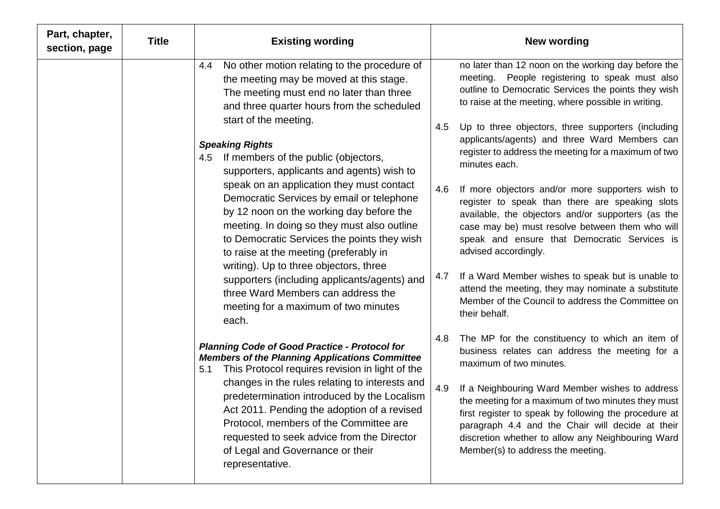| Part, chapter,<br>section, page | <b>Title</b> | <b>Existing wording</b>                                                                                                                                                                                                                                                                                                                                                                                                                                                                                                                                                                                                                                                                                                                                                                                                                                                                                                                                                                                                                                                                                                                                                                                                                                                           | <b>New wording</b>                                                                                                                                                                                                                                                                                                                                                                                                                                                                                                                                                                                                                                                                                                                                                                                                                                                                                                                                                                                                                                                                                                                                                                                                                                                                                                                                              |
|---------------------------------|--------------|-----------------------------------------------------------------------------------------------------------------------------------------------------------------------------------------------------------------------------------------------------------------------------------------------------------------------------------------------------------------------------------------------------------------------------------------------------------------------------------------------------------------------------------------------------------------------------------------------------------------------------------------------------------------------------------------------------------------------------------------------------------------------------------------------------------------------------------------------------------------------------------------------------------------------------------------------------------------------------------------------------------------------------------------------------------------------------------------------------------------------------------------------------------------------------------------------------------------------------------------------------------------------------------|-----------------------------------------------------------------------------------------------------------------------------------------------------------------------------------------------------------------------------------------------------------------------------------------------------------------------------------------------------------------------------------------------------------------------------------------------------------------------------------------------------------------------------------------------------------------------------------------------------------------------------------------------------------------------------------------------------------------------------------------------------------------------------------------------------------------------------------------------------------------------------------------------------------------------------------------------------------------------------------------------------------------------------------------------------------------------------------------------------------------------------------------------------------------------------------------------------------------------------------------------------------------------------------------------------------------------------------------------------------------|
|                                 |              | No other motion relating to the procedure of<br>4.4<br>the meeting may be moved at this stage.<br>The meeting must end no later than three<br>and three quarter hours from the scheduled<br>start of the meeting.<br><b>Speaking Rights</b><br>If members of the public (objectors,<br>4.5<br>supporters, applicants and agents) wish to<br>speak on an application they must contact<br>Democratic Services by email or telephone<br>by 12 noon on the working day before the<br>meeting. In doing so they must also outline<br>to Democratic Services the points they wish<br>to raise at the meeting (preferably in<br>writing). Up to three objectors, three<br>supporters (including applicants/agents) and<br>three Ward Members can address the<br>meeting for a maximum of two minutes<br>each.<br><b>Planning Code of Good Practice - Protocol for</b><br><b>Members of the Planning Applications Committee</b><br>This Protocol requires revision in light of the<br>5.1<br>changes in the rules relating to interests and<br>predetermination introduced by the Localism<br>Act 2011. Pending the adoption of a revised<br>Protocol, members of the Committee are<br>requested to seek advice from the Director<br>of Legal and Governance or their<br>representative. | no later than 12 noon on the working day before the<br>meeting. People registering to speak must also<br>outline to Democratic Services the points they wish<br>to raise at the meeting, where possible in writing.<br>Up to three objectors, three supporters (including<br>4.5<br>applicants/agents) and three Ward Members can<br>register to address the meeting for a maximum of two<br>minutes each.<br>4.6<br>If more objectors and/or more supporters wish to<br>register to speak than there are speaking slots<br>available, the objectors and/or supporters (as the<br>case may be) must resolve between them who will<br>speak and ensure that Democratic Services is<br>advised accordingly.<br>If a Ward Member wishes to speak but is unable to<br>4.7<br>attend the meeting, they may nominate a substitute<br>Member of the Council to address the Committee on<br>their behalf.<br>The MP for the constituency to which an item of<br>4.8<br>business relates can address the meeting for a<br>maximum of two minutes.<br>4.9<br>If a Neighbouring Ward Member wishes to address<br>the meeting for a maximum of two minutes they must<br>first register to speak by following the procedure at<br>paragraph 4.4 and the Chair will decide at their<br>discretion whether to allow any Neighbouring Ward<br>Member(s) to address the meeting. |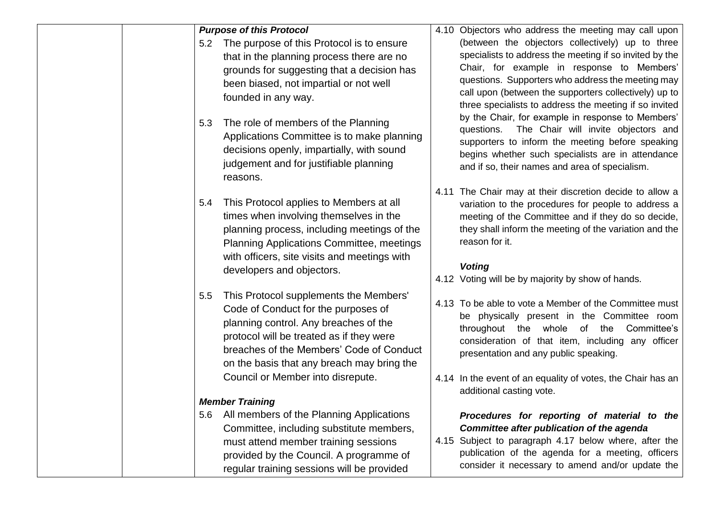| <b>Purpose of this Protocol</b><br>The purpose of this Protocol is to ensure<br>5.2<br>that in the planning process there are no<br>grounds for suggesting that a decision has<br>been biased, not impartial or not well<br>founded in any way.<br>The role of members of the Planning<br>5.3<br>Applications Committee is to make planning<br>decisions openly, impartially, with sound<br>judgement and for justifiable planning | 4.10 Objectors who address the meeting may call upon<br>(between the objectors collectively) up to three<br>specialists to address the meeting if so invited by the<br>Chair, for example in response to Members'<br>questions. Supporters who address the meeting may<br>call upon (between the supporters collectively) up to<br>three specialists to address the meeting if so invited<br>by the Chair, for example in response to Members'<br>The Chair will invite objectors and<br>questions.<br>supporters to inform the meeting before speaking<br>begins whether such specialists are in attendance |
|------------------------------------------------------------------------------------------------------------------------------------------------------------------------------------------------------------------------------------------------------------------------------------------------------------------------------------------------------------------------------------------------------------------------------------|--------------------------------------------------------------------------------------------------------------------------------------------------------------------------------------------------------------------------------------------------------------------------------------------------------------------------------------------------------------------------------------------------------------------------------------------------------------------------------------------------------------------------------------------------------------------------------------------------------------|
| reasons.<br>This Protocol applies to Members at all<br>5.4                                                                                                                                                                                                                                                                                                                                                                         | and if so, their names and area of specialism.<br>4.11 The Chair may at their discretion decide to allow a<br>variation to the procedures for people to address a                                                                                                                                                                                                                                                                                                                                                                                                                                            |
| times when involving themselves in the<br>planning process, including meetings of the<br>Planning Applications Committee, meetings<br>with officers, site visits and meetings with<br>developers and objectors.                                                                                                                                                                                                                    | meeting of the Committee and if they do so decide,<br>they shall inform the meeting of the variation and the<br>reason for it.<br><b>Voting</b><br>4.12 Voting will be by majority by show of hands.                                                                                                                                                                                                                                                                                                                                                                                                         |
| This Protocol supplements the Members'<br>5.5<br>Code of Conduct for the purposes of<br>planning control. Any breaches of the<br>protocol will be treated as if they were<br>breaches of the Members' Code of Conduct<br>on the basis that any breach may bring the<br>Council or Member into disrepute.                                                                                                                           | 4.13 To be able to vote a Member of the Committee must<br>be physically present in the Committee room<br>throughout the whole of the<br>Committee's<br>consideration of that item, including any officer<br>presentation and any public speaking.<br>4.14 In the event of an equality of votes, the Chair has an                                                                                                                                                                                                                                                                                             |
| <b>Member Training</b>                                                                                                                                                                                                                                                                                                                                                                                                             | additional casting vote.                                                                                                                                                                                                                                                                                                                                                                                                                                                                                                                                                                                     |
| All members of the Planning Applications<br>5.6<br>Committee, including substitute members,<br>must attend member training sessions<br>provided by the Council. A programme of<br>regular training sessions will be provided                                                                                                                                                                                                       | Procedures for reporting of material to the<br>Committee after publication of the agenda<br>4.15 Subject to paragraph 4.17 below where, after the<br>publication of the agenda for a meeting, officers<br>consider it necessary to amend and/or update the                                                                                                                                                                                                                                                                                                                                                   |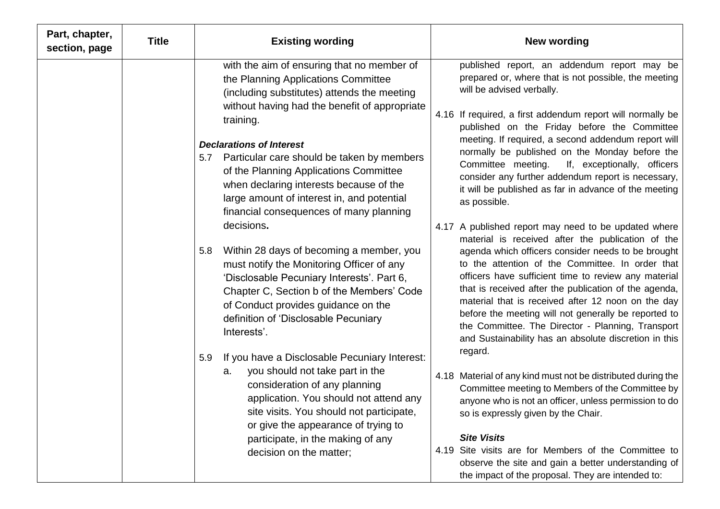| Part, chapter,<br>section, page | <b>Title</b> | <b>Existing wording</b>                                                                                                                                                                                                                                                                                                                                     | <b>New wording</b>                                                                                                                                                                                                                                                                                                                                                                                                                                                                                                                                                          |
|---------------------------------|--------------|-------------------------------------------------------------------------------------------------------------------------------------------------------------------------------------------------------------------------------------------------------------------------------------------------------------------------------------------------------------|-----------------------------------------------------------------------------------------------------------------------------------------------------------------------------------------------------------------------------------------------------------------------------------------------------------------------------------------------------------------------------------------------------------------------------------------------------------------------------------------------------------------------------------------------------------------------------|
|                                 |              | with the aim of ensuring that no member of<br>the Planning Applications Committee<br>(including substitutes) attends the meeting<br>without having had the benefit of appropriate<br>training.                                                                                                                                                              | published report, an addendum report may be<br>prepared or, where that is not possible, the meeting<br>will be advised verbally.<br>4.16 If required, a first addendum report will normally be<br>published on the Friday before the Committee                                                                                                                                                                                                                                                                                                                              |
|                                 |              | <b>Declarations of Interest</b><br>5.7 Particular care should be taken by members<br>of the Planning Applications Committee<br>when declaring interests because of the<br>large amount of interest in, and potential<br>financial consequences of many planning                                                                                             | meeting. If required, a second addendum report will<br>normally be published on the Monday before the<br>Committee meeting.<br>If, exceptionally, officers<br>consider any further addendum report is necessary,<br>it will be published as far in advance of the meeting<br>as possible.                                                                                                                                                                                                                                                                                   |
|                                 |              | decisions.<br>Within 28 days of becoming a member, you<br>5.8<br>must notify the Monitoring Officer of any<br>'Disclosable Pecuniary Interests'. Part 6,<br>Chapter C, Section b of the Members' Code<br>of Conduct provides guidance on the<br>definition of 'Disclosable Pecuniary<br>Interests'.<br>If you have a Disclosable Pecuniary Interest:<br>5.9 | 4.17 A published report may need to be updated where<br>material is received after the publication of the<br>agenda which officers consider needs to be brought<br>to the attention of the Committee. In order that<br>officers have sufficient time to review any material<br>that is received after the publication of the agenda,<br>material that is received after 12 noon on the day<br>before the meeting will not generally be reported to<br>the Committee. The Director - Planning, Transport<br>and Sustainability has an absolute discretion in this<br>regard. |
|                                 |              | you should not take part in the<br>а.<br>consideration of any planning<br>application. You should not attend any<br>site visits. You should not participate,<br>or give the appearance of trying to<br>participate, in the making of any<br>decision on the matter;                                                                                         | 4.18 Material of any kind must not be distributed during the<br>Committee meeting to Members of the Committee by<br>anyone who is not an officer, unless permission to do<br>so is expressly given by the Chair.<br><b>Site Visits</b><br>4.19 Site visits are for Members of the Committee to                                                                                                                                                                                                                                                                              |
|                                 |              |                                                                                                                                                                                                                                                                                                                                                             | observe the site and gain a better understanding of<br>the impact of the proposal. They are intended to:                                                                                                                                                                                                                                                                                                                                                                                                                                                                    |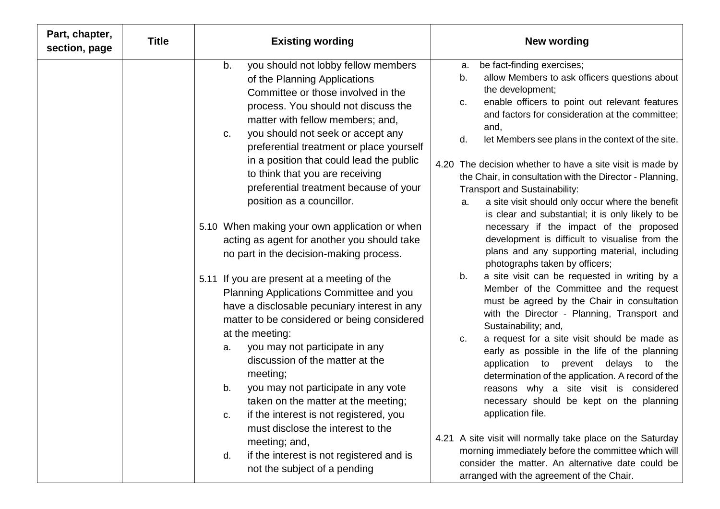| Part, chapter,<br>section, page | <b>Title</b> | <b>Existing wording</b><br><b>New wording</b>                                                                                                                                                                                                                                                                                                                                                                                                                                                                                                                                                                                                                                                                                                                                                                                                                                                                                                                                                                                                                                                                                                               |
|---------------------------------|--------------|-------------------------------------------------------------------------------------------------------------------------------------------------------------------------------------------------------------------------------------------------------------------------------------------------------------------------------------------------------------------------------------------------------------------------------------------------------------------------------------------------------------------------------------------------------------------------------------------------------------------------------------------------------------------------------------------------------------------------------------------------------------------------------------------------------------------------------------------------------------------------------------------------------------------------------------------------------------------------------------------------------------------------------------------------------------------------------------------------------------------------------------------------------------|
|                                 |              | you should not lobby fellow members<br>be fact-finding exercises;<br>b.<br>a.<br>allow Members to ask officers questions about<br>b.<br>of the Planning Applications<br>the development;<br>Committee or those involved in the<br>enable officers to point out relevant features<br>C.<br>process. You should not discuss the<br>and factors for consideration at the committee;<br>matter with fellow members; and,<br>and,<br>you should not seek or accept any<br>C.<br>let Members see plans in the context of the site.<br>d.<br>preferential treatment or place yourself<br>in a position that could lead the public<br>4.20 The decision whether to have a site visit is made by<br>to think that you are receiving<br>the Chair, in consultation with the Director - Planning,<br>preferential treatment because of your<br>Transport and Sustainability:<br>position as a councillor.<br>a site visit should only occur where the benefit<br>a.<br>is clear and substantial; it is only likely to be                                                                                                                                               |
|                                 |              | necessary if the impact of the proposed<br>5.10 When making your own application or when<br>development is difficult to visualise from the<br>acting as agent for another you should take<br>plans and any supporting material, including<br>no part in the decision-making process.<br>photographs taken by officers;                                                                                                                                                                                                                                                                                                                                                                                                                                                                                                                                                                                                                                                                                                                                                                                                                                      |
|                                 |              | a site visit can be requested in writing by a<br>b.<br>5.11 If you are present at a meeting of the<br>Member of the Committee and the request<br>Planning Applications Committee and you<br>must be agreed by the Chair in consultation<br>have a disclosable pecuniary interest in any<br>with the Director - Planning, Transport and<br>matter to be considered or being considered<br>Sustainability; and,<br>at the meeting:<br>a request for a site visit should be made as<br>C.<br>you may not participate in any<br>a.<br>early as possible in the life of the planning<br>discussion of the matter at the<br>application to prevent delays<br>to<br>the<br>meeting;<br>determination of the application. A record of the<br>you may not participate in any vote<br>b.<br>reasons why a site visit is considered<br>necessary should be kept on the planning<br>taken on the matter at the meeting;<br>application file.<br>if the interest is not registered, you<br>C.<br>must disclose the interest to the<br>4.21 A site visit will normally take place on the Saturday<br>meeting; and,<br>morning immediately before the committee which will |
|                                 |              | if the interest is not registered and is<br>d.<br>consider the matter. An alternative date could be<br>not the subject of a pending<br>arranged with the agreement of the Chair.                                                                                                                                                                                                                                                                                                                                                                                                                                                                                                                                                                                                                                                                                                                                                                                                                                                                                                                                                                            |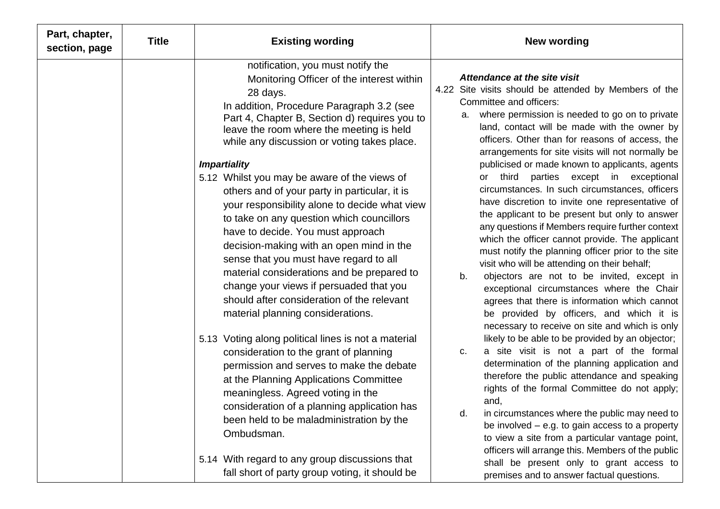| Part, chapter,<br>section, page | <b>Title</b> | <b>Existing wording</b>                                                                                                                                                                                                                                                                                                                                                                                                                                                                                                   | <b>New wording</b>                                                                                                                                                                                                                                                                                                                                                                                                                                                                                                                                                                                                                                                                                              |
|---------------------------------|--------------|---------------------------------------------------------------------------------------------------------------------------------------------------------------------------------------------------------------------------------------------------------------------------------------------------------------------------------------------------------------------------------------------------------------------------------------------------------------------------------------------------------------------------|-----------------------------------------------------------------------------------------------------------------------------------------------------------------------------------------------------------------------------------------------------------------------------------------------------------------------------------------------------------------------------------------------------------------------------------------------------------------------------------------------------------------------------------------------------------------------------------------------------------------------------------------------------------------------------------------------------------------|
|                                 |              | notification, you must notify the<br>Monitoring Officer of the interest within<br>28 days.<br>In addition, Procedure Paragraph 3.2 (see<br>Part 4, Chapter B, Section d) requires you to<br>leave the room where the meeting is held<br>while any discussion or voting takes place.                                                                                                                                                                                                                                       | Attendance at the site visit<br>4.22 Site visits should be attended by Members of the<br>Committee and officers:<br>where permission is needed to go on to private<br>a.<br>land, contact will be made with the owner by<br>officers. Other than for reasons of access, the<br>arrangements for site visits will not normally be                                                                                                                                                                                                                                                                                                                                                                                |
|                                 |              | <b>Impartiality</b><br>5.12 Whilst you may be aware of the views of<br>others and of your party in particular, it is<br>your responsibility alone to decide what view<br>to take on any question which councillors<br>have to decide. You must approach<br>decision-making with an open mind in the<br>sense that you must have regard to all<br>material considerations and be prepared to<br>change your views if persuaded that you<br>should after consideration of the relevant<br>material planning considerations. | publicised or made known to applicants, agents<br>parties except in exceptional<br>or third<br>circumstances. In such circumstances, officers<br>have discretion to invite one representative of<br>the applicant to be present but only to answer<br>any questions if Members require further context<br>which the officer cannot provide. The applicant<br>must notify the planning officer prior to the site<br>visit who will be attending on their behalf;<br>objectors are not to be invited, except in<br>b.<br>exceptional circumstances where the Chair<br>agrees that there is information which cannot<br>be provided by officers, and which it is<br>necessary to receive on site and which is only |
|                                 |              | 5.13 Voting along political lines is not a material<br>consideration to the grant of planning<br>permission and serves to make the debate<br>at the Planning Applications Committee<br>meaningless. Agreed voting in the<br>consideration of a planning application has<br>been held to be maladministration by the<br>Ombudsman.                                                                                                                                                                                         | likely to be able to be provided by an objector;<br>a site visit is not a part of the formal<br>C.<br>determination of the planning application and<br>therefore the public attendance and speaking<br>rights of the formal Committee do not apply;<br>and,<br>d.<br>in circumstances where the public may need to<br>be involved $-$ e.g. to gain access to a property<br>to view a site from a particular vantage point,<br>officers will arrange this. Members of the public                                                                                                                                                                                                                                 |
|                                 |              | 5.14 With regard to any group discussions that<br>fall short of party group voting, it should be                                                                                                                                                                                                                                                                                                                                                                                                                          | shall be present only to grant access to<br>premises and to answer factual questions.                                                                                                                                                                                                                                                                                                                                                                                                                                                                                                                                                                                                                           |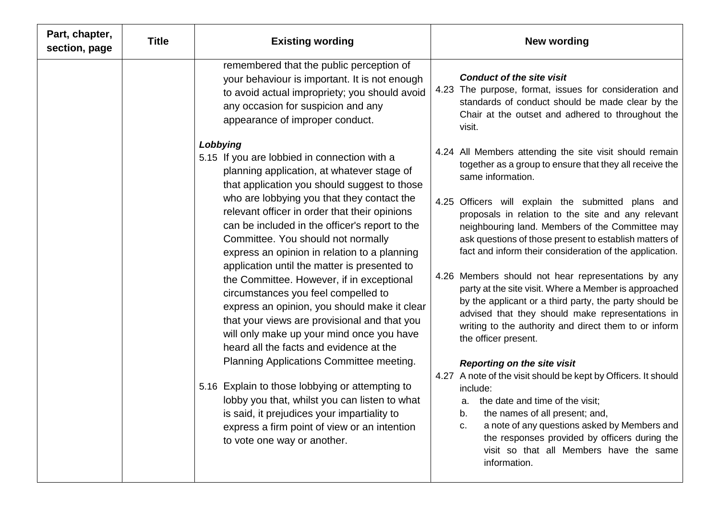| Part, chapter,<br>section, page | <b>Title</b> | <b>Existing wording</b>                                                                                                                                                                                                                                                                                                                                                                                                                                                                                                                                         | <b>New wording</b>                                                                                                                                                                                                                                                                                                                                                                                                                                                                                                                                                                              |
|---------------------------------|--------------|-----------------------------------------------------------------------------------------------------------------------------------------------------------------------------------------------------------------------------------------------------------------------------------------------------------------------------------------------------------------------------------------------------------------------------------------------------------------------------------------------------------------------------------------------------------------|-------------------------------------------------------------------------------------------------------------------------------------------------------------------------------------------------------------------------------------------------------------------------------------------------------------------------------------------------------------------------------------------------------------------------------------------------------------------------------------------------------------------------------------------------------------------------------------------------|
|                                 |              | remembered that the public perception of<br>your behaviour is important. It is not enough<br>to avoid actual impropriety; you should avoid<br>any occasion for suspicion and any<br>appearance of improper conduct.                                                                                                                                                                                                                                                                                                                                             | <b>Conduct of the site visit</b><br>4.23 The purpose, format, issues for consideration and<br>standards of conduct should be made clear by the<br>Chair at the outset and adhered to throughout the<br>visit.                                                                                                                                                                                                                                                                                                                                                                                   |
|                                 |              | Lobbying<br>5.15 If you are lobbied in connection with a<br>planning application, at whatever stage of<br>that application you should suggest to those                                                                                                                                                                                                                                                                                                                                                                                                          | 4.24 All Members attending the site visit should remain<br>together as a group to ensure that they all receive the<br>same information.                                                                                                                                                                                                                                                                                                                                                                                                                                                         |
|                                 |              | who are lobbying you that they contact the<br>relevant officer in order that their opinions<br>can be included in the officer's report to the<br>Committee. You should not normally<br>express an opinion in relation to a planning<br>application until the matter is presented to<br>the Committee. However, if in exceptional<br>circumstances you feel compelled to<br>express an opinion, you should make it clear<br>that your views are provisional and that you<br>will only make up your mind once you have<br>heard all the facts and evidence at the | 4.25 Officers will explain the submitted plans and<br>proposals in relation to the site and any relevant<br>neighbouring land. Members of the Committee may<br>ask questions of those present to establish matters of<br>fact and inform their consideration of the application.<br>4.26 Members should not hear representations by any<br>party at the site visit. Where a Member is approached<br>by the applicant or a third party, the party should be<br>advised that they should make representations in<br>writing to the authority and direct them to or inform<br>the officer present. |
|                                 |              | Planning Applications Committee meeting.<br>5.16 Explain to those lobbying or attempting to<br>lobby you that, whilst you can listen to what<br>is said, it prejudices your impartiality to<br>express a firm point of view or an intention<br>to vote one way or another.                                                                                                                                                                                                                                                                                      | <b>Reporting on the site visit</b><br>4.27 A note of the visit should be kept by Officers. It should<br>include:<br>a. the date and time of the visit;<br>the names of all present; and,<br>b.<br>a note of any questions asked by Members and<br>C.<br>the responses provided by officers during the<br>visit so that all Members have the same<br>information.                                                                                                                                                                                                                                |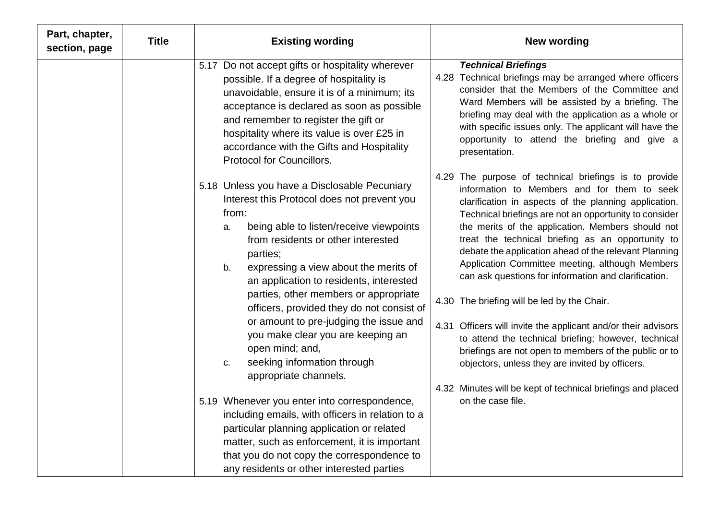| Part, chapter,<br>section, page | <b>Title</b> | <b>Existing wording</b><br><b>New wording</b>                                                                                                                                                                                                                                                                                                                                                                                                                                                                                                                                                                                                                                                                                                                                                                                                                                                                                                                                                                                                                                                                                                                                                                                                                                                                                                                                                                       |  |
|---------------------------------|--------------|---------------------------------------------------------------------------------------------------------------------------------------------------------------------------------------------------------------------------------------------------------------------------------------------------------------------------------------------------------------------------------------------------------------------------------------------------------------------------------------------------------------------------------------------------------------------------------------------------------------------------------------------------------------------------------------------------------------------------------------------------------------------------------------------------------------------------------------------------------------------------------------------------------------------------------------------------------------------------------------------------------------------------------------------------------------------------------------------------------------------------------------------------------------------------------------------------------------------------------------------------------------------------------------------------------------------------------------------------------------------------------------------------------------------|--|
|                                 |              | 5.17 Do not accept gifts or hospitality wherever<br><b>Technical Briefings</b><br>4.28 Technical briefings may be arranged where officers<br>possible. If a degree of hospitality is<br>consider that the Members of the Committee and<br>unavoidable, ensure it is of a minimum; its<br>Ward Members will be assisted by a briefing. The<br>acceptance is declared as soon as possible<br>briefing may deal with the application as a whole or<br>and remember to register the gift or<br>with specific issues only. The applicant will have the<br>hospitality where its value is over £25 in<br>opportunity to attend the briefing and give a<br>accordance with the Gifts and Hospitality<br>presentation.<br><b>Protocol for Councillors.</b>                                                                                                                                                                                                                                                                                                                                                                                                                                                                                                                                                                                                                                                                  |  |
|                                 |              | 4.29 The purpose of technical briefings is to provide<br>5.18 Unless you have a Disclosable Pecuniary<br>information to Members and for them to seek<br>Interest this Protocol does not prevent you<br>clarification in aspects of the planning application.<br>from:<br>Technical briefings are not an opportunity to consider<br>being able to listen/receive viewpoints<br>the merits of the application. Members should not<br>a.<br>treat the technical briefing as an opportunity to<br>from residents or other interested<br>debate the application ahead of the relevant Planning<br>parties;<br>Application Committee meeting, although Members<br>expressing a view about the merits of<br>b.<br>can ask questions for information and clarification.<br>an application to residents, interested<br>parties, other members or appropriate<br>4.30 The briefing will be led by the Chair.<br>officers, provided they do not consist of<br>or amount to pre-judging the issue and<br>4.31 Officers will invite the applicant and/or their advisors<br>you make clear you are keeping an<br>to attend the technical briefing; however, technical<br>open mind; and,<br>briefings are not open to members of the public or to<br>seeking information through<br>objectors, unless they are invited by officers.<br>C.<br>appropriate channels.<br>4.32 Minutes will be kept of technical briefings and placed |  |
|                                 |              | on the case file.<br>5.19 Whenever you enter into correspondence,<br>including emails, with officers in relation to a<br>particular planning application or related<br>matter, such as enforcement, it is important<br>that you do not copy the correspondence to<br>any residents or other interested parties                                                                                                                                                                                                                                                                                                                                                                                                                                                                                                                                                                                                                                                                                                                                                                                                                                                                                                                                                                                                                                                                                                      |  |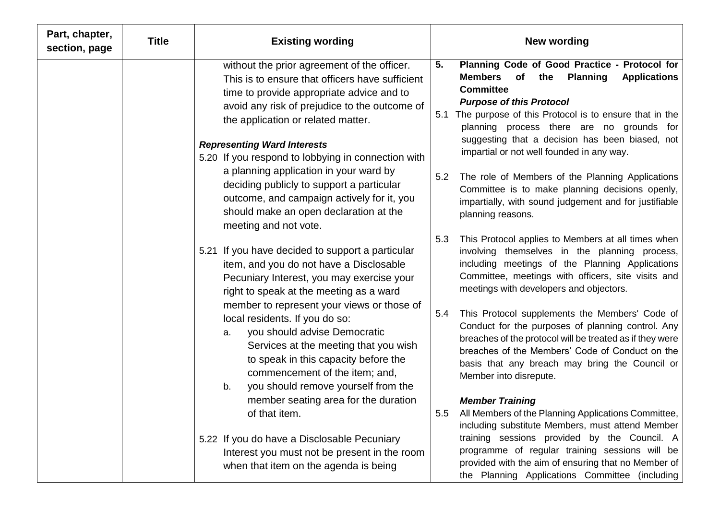| Part, chapter,<br>section, page | <b>Title</b> | <b>Existing wording</b>                                                                                                                                                                                                                                                  | <b>New wording</b>                                                                                                                                                                                                                                                                                                                               |
|---------------------------------|--------------|--------------------------------------------------------------------------------------------------------------------------------------------------------------------------------------------------------------------------------------------------------------------------|--------------------------------------------------------------------------------------------------------------------------------------------------------------------------------------------------------------------------------------------------------------------------------------------------------------------------------------------------|
|                                 |              | without the prior agreement of the officer.<br>This is to ensure that officers have sufficient<br>time to provide appropriate advice and to<br>avoid any risk of prejudice to the outcome of<br>the application or related matter.<br><b>Representing Ward Interests</b> | Planning Code of Good Practice - Protocol for<br>5.<br><b>Members</b><br>of<br><b>Planning</b><br><b>Applications</b><br>the<br><b>Committee</b><br><b>Purpose of this Protocol</b><br>5.1 The purpose of this Protocol is to ensure that in the<br>planning process there are no grounds for<br>suggesting that a decision has been biased, not |
|                                 |              | 5.20 If you respond to lobbying in connection with<br>a planning application in your ward by<br>deciding publicly to support a particular<br>outcome, and campaign actively for it, you<br>should make an open declaration at the<br>meeting and not vote.               | impartial or not well founded in any way.<br>5.2<br>The role of Members of the Planning Applications<br>Committee is to make planning decisions openly,<br>impartially, with sound judgement and for justifiable<br>planning reasons.                                                                                                            |
|                                 |              | 5.21 If you have decided to support a particular<br>item, and you do not have a Disclosable<br>Pecuniary Interest, you may exercise your<br>right to speak at the meeting as a ward<br>member to represent your views or those of                                        | This Protocol applies to Members at all times when<br>5.3<br>involving themselves in the planning process,<br>including meetings of the Planning Applications<br>Committee, meetings with officers, site visits and<br>meetings with developers and objectors.                                                                                   |
|                                 |              | local residents. If you do so:<br>you should advise Democratic<br>a.<br>Services at the meeting that you wish<br>to speak in this capacity before the<br>commencement of the item; and,<br>you should remove yourself from the<br>b.                                     | This Protocol supplements the Members' Code of<br>5.4<br>Conduct for the purposes of planning control. Any<br>breaches of the protocol will be treated as if they were<br>breaches of the Members' Code of Conduct on the<br>basis that any breach may bring the Council or<br>Member into disrepute.                                            |
|                                 |              | member seating area for the duration<br>of that item.                                                                                                                                                                                                                    | <b>Member Training</b><br>All Members of the Planning Applications Committee,<br>5.5<br>including substitute Members, must attend Member                                                                                                                                                                                                         |
|                                 |              | 5.22 If you do have a Disclosable Pecuniary<br>Interest you must not be present in the room<br>when that item on the agenda is being                                                                                                                                     | training sessions provided by the Council. A<br>programme of regular training sessions will be<br>provided with the aim of ensuring that no Member of<br>the Planning Applications Committee (including                                                                                                                                          |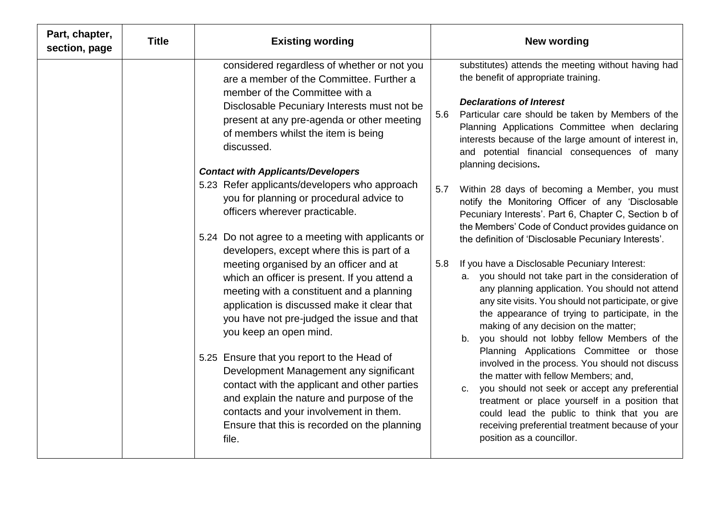| Part, chapter,<br>section, page | <b>Title</b> | <b>Existing wording</b>                                                                                                                                                                                                                                                                                                                                                                                                                                                                                                                                                                                                                                                                                                                                                                                                                                                                                                                                                                                                                                 | <b>New wording</b>                                                                                                                                                                                                                                                                                                                                                                                                                                                                                                                                                                                                                                                                                                                                                                                                                                                                                                                                                                                                                                                                                                                                                                                                                                                                                                                  |
|---------------------------------|--------------|---------------------------------------------------------------------------------------------------------------------------------------------------------------------------------------------------------------------------------------------------------------------------------------------------------------------------------------------------------------------------------------------------------------------------------------------------------------------------------------------------------------------------------------------------------------------------------------------------------------------------------------------------------------------------------------------------------------------------------------------------------------------------------------------------------------------------------------------------------------------------------------------------------------------------------------------------------------------------------------------------------------------------------------------------------|-------------------------------------------------------------------------------------------------------------------------------------------------------------------------------------------------------------------------------------------------------------------------------------------------------------------------------------------------------------------------------------------------------------------------------------------------------------------------------------------------------------------------------------------------------------------------------------------------------------------------------------------------------------------------------------------------------------------------------------------------------------------------------------------------------------------------------------------------------------------------------------------------------------------------------------------------------------------------------------------------------------------------------------------------------------------------------------------------------------------------------------------------------------------------------------------------------------------------------------------------------------------------------------------------------------------------------------|
|                                 |              | considered regardless of whether or not you<br>are a member of the Committee. Further a<br>member of the Committee with a<br>Disclosable Pecuniary Interests must not be<br>present at any pre-agenda or other meeting<br>of members whilst the item is being<br>discussed.<br><b>Contact with Applicants/Developers</b><br>5.23 Refer applicants/developers who approach<br>you for planning or procedural advice to<br>officers wherever practicable.<br>5.24 Do not agree to a meeting with applicants or<br>developers, except where this is part of a<br>meeting organised by an officer and at<br>which an officer is present. If you attend a<br>meeting with a constituent and a planning<br>application is discussed make it clear that<br>you have not pre-judged the issue and that<br>you keep an open mind.<br>5.25 Ensure that you report to the Head of<br>Development Management any significant<br>contact with the applicant and other parties<br>and explain the nature and purpose of the<br>contacts and your involvement in them. | substitutes) attends the meeting without having had<br>the benefit of appropriate training.<br><b>Declarations of Interest</b><br>5.6<br>Particular care should be taken by Members of the<br>Planning Applications Committee when declaring<br>interests because of the large amount of interest in,<br>and potential financial consequences of many<br>planning decisions.<br>Within 28 days of becoming a Member, you must<br>5.7<br>notify the Monitoring Officer of any 'Disclosable<br>Pecuniary Interests'. Part 6, Chapter C, Section b of<br>the Members' Code of Conduct provides guidance on<br>the definition of 'Disclosable Pecuniary Interests'.<br>If you have a Disclosable Pecuniary Interest:<br>5.8<br>a. you should not take part in the consideration of<br>any planning application. You should not attend<br>any site visits. You should not participate, or give<br>the appearance of trying to participate, in the<br>making of any decision on the matter;<br>b. you should not lobby fellow Members of the<br>Planning Applications Committee or those<br>involved in the process. You should not discuss<br>the matter with fellow Members; and,<br>c. you should not seek or accept any preferential<br>treatment or place yourself in a position that<br>could lead the public to think that you are |
|                                 |              | Ensure that this is recorded on the planning<br>file.                                                                                                                                                                                                                                                                                                                                                                                                                                                                                                                                                                                                                                                                                                                                                                                                                                                                                                                                                                                                   | receiving preferential treatment because of your<br>position as a councillor.                                                                                                                                                                                                                                                                                                                                                                                                                                                                                                                                                                                                                                                                                                                                                                                                                                                                                                                                                                                                                                                                                                                                                                                                                                                       |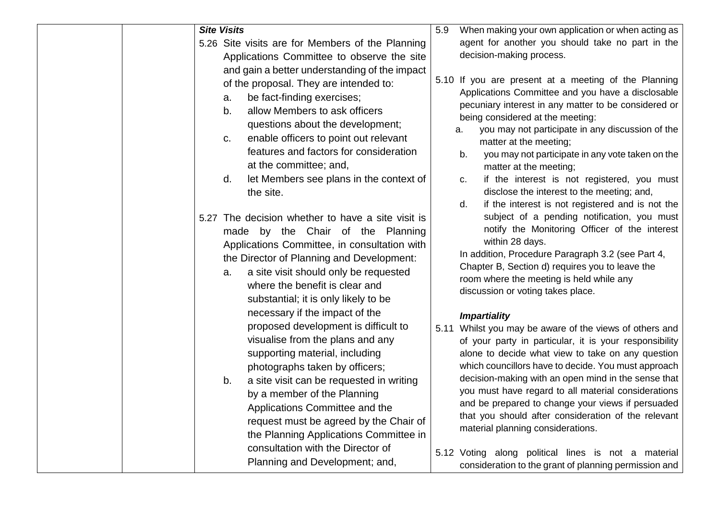| <b>Site Visits</b>                                                                                                                                                                                                                                                                                                                                                                                                                                                                                                                                                                                                                                                                                                                         | When making your own application or when acting as<br>5.9                                                                                                                                                                                                                                                                                                                                                                                                                                                                                                                                                                                                                                                                                                                                                                          |
|--------------------------------------------------------------------------------------------------------------------------------------------------------------------------------------------------------------------------------------------------------------------------------------------------------------------------------------------------------------------------------------------------------------------------------------------------------------------------------------------------------------------------------------------------------------------------------------------------------------------------------------------------------------------------------------------------------------------------------------------|------------------------------------------------------------------------------------------------------------------------------------------------------------------------------------------------------------------------------------------------------------------------------------------------------------------------------------------------------------------------------------------------------------------------------------------------------------------------------------------------------------------------------------------------------------------------------------------------------------------------------------------------------------------------------------------------------------------------------------------------------------------------------------------------------------------------------------|
| 5.26 Site visits are for Members of the Planning<br>Applications Committee to observe the site<br>and gain a better understanding of the impact<br>of the proposal. They are intended to:<br>be fact-finding exercises;<br>a.<br>allow Members to ask officers<br>b.<br>questions about the development;<br>enable officers to point out relevant<br>C.<br>features and factors for consideration<br>at the committee; and,<br>let Members see plans in the context of<br>d.<br>the site.                                                                                                                                                                                                                                                  | agent for another you should take no part in the<br>decision-making process.<br>5.10 If you are present at a meeting of the Planning<br>Applications Committee and you have a disclosable<br>pecuniary interest in any matter to be considered or<br>being considered at the meeting:<br>you may not participate in any discussion of the<br>а.<br>matter at the meeting;<br>you may not participate in any vote taken on the<br>b.<br>matter at the meeting;<br>if the interest is not registered, you must<br>c.<br>disclose the interest to the meeting; and,<br>if the interest is not registered and is not the<br>d.                                                                                                                                                                                                         |
| 5.27 The decision whether to have a site visit is<br>made by the Chair of the Planning<br>Applications Committee, in consultation with<br>the Director of Planning and Development:<br>a site visit should only be requested<br>a.<br>where the benefit is clear and<br>substantial; it is only likely to be<br>necessary if the impact of the<br>proposed development is difficult to<br>visualise from the plans and any<br>supporting material, including<br>photographs taken by officers;<br>a site visit can be requested in writing<br>b.<br>by a member of the Planning<br>Applications Committee and the<br>request must be agreed by the Chair of<br>the Planning Applications Committee in<br>consultation with the Director of | subject of a pending notification, you must<br>notify the Monitoring Officer of the interest<br>within 28 days.<br>In addition, Procedure Paragraph 3.2 (see Part 4,<br>Chapter B, Section d) requires you to leave the<br>room where the meeting is held while any<br>discussion or voting takes place.<br><b>Impartiality</b><br>Whilst you may be aware of the views of others and<br>5.11<br>of your party in particular, it is your responsibility<br>alone to decide what view to take on any question<br>which councillors have to decide. You must approach<br>decision-making with an open mind in the sense that<br>you must have regard to all material considerations<br>and be prepared to change your views if persuaded<br>that you should after consideration of the relevant<br>material planning considerations. |
| Planning and Development; and,                                                                                                                                                                                                                                                                                                                                                                                                                                                                                                                                                                                                                                                                                                             | 5.12 Voting along political lines is not a material<br>consideration to the grant of planning permission and                                                                                                                                                                                                                                                                                                                                                                                                                                                                                                                                                                                                                                                                                                                       |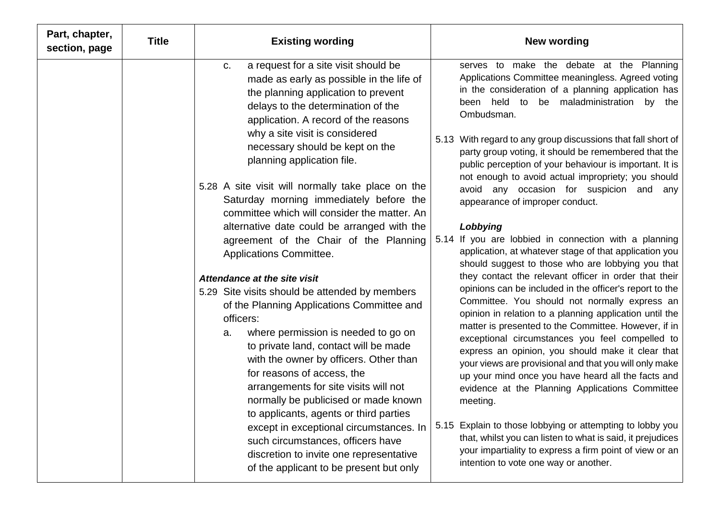| Part, chapter,<br>section, page | <b>Title</b> | <b>Existing wording</b>                                                                                                                                                                                                                                                                                                                                                                                                                                                                                                                                                                                  | <b>New wording</b>                                                                                                                                                                                                                                                                                                                                                                                                                                                                                                                                                                                                                                                                                                                                                                                            |
|---------------------------------|--------------|----------------------------------------------------------------------------------------------------------------------------------------------------------------------------------------------------------------------------------------------------------------------------------------------------------------------------------------------------------------------------------------------------------------------------------------------------------------------------------------------------------------------------------------------------------------------------------------------------------|---------------------------------------------------------------------------------------------------------------------------------------------------------------------------------------------------------------------------------------------------------------------------------------------------------------------------------------------------------------------------------------------------------------------------------------------------------------------------------------------------------------------------------------------------------------------------------------------------------------------------------------------------------------------------------------------------------------------------------------------------------------------------------------------------------------|
|                                 |              | a request for a site visit should be<br>C.<br>made as early as possible in the life of<br>the planning application to prevent<br>delays to the determination of the<br>application. A record of the reasons<br>why a site visit is considered<br>necessary should be kept on the<br>planning application file.                                                                                                                                                                                                                                                                                           | serves to make the debate at the Planning<br>Applications Committee meaningless. Agreed voting<br>in the consideration of a planning application has<br>been held to be maladministration by the<br>Ombudsman.<br>5.13 With regard to any group discussions that fall short of<br>party group voting, it should be remembered that the<br>public perception of your behaviour is important. It is                                                                                                                                                                                                                                                                                                                                                                                                             |
|                                 |              | 5.28 A site visit will normally take place on the<br>Saturday morning immediately before the<br>committee which will consider the matter. An<br>alternative date could be arranged with the<br>agreement of the Chair of the Planning<br>Applications Committee.                                                                                                                                                                                                                                                                                                                                         | not enough to avoid actual impropriety; you should<br>avoid any occasion for suspicion and any<br>appearance of improper conduct.<br>Lobbying<br>5.14 If you are lobbied in connection with a planning<br>application, at whatever stage of that application you<br>should suggest to those who are lobbying you that                                                                                                                                                                                                                                                                                                                                                                                                                                                                                         |
|                                 |              | Attendance at the site visit<br>5.29 Site visits should be attended by members<br>of the Planning Applications Committee and<br>officers:<br>where permission is needed to go on<br>a.<br>to private land, contact will be made<br>with the owner by officers. Other than<br>for reasons of access, the<br>arrangements for site visits will not<br>normally be publicised or made known<br>to applicants, agents or third parties<br>except in exceptional circumstances. In<br>such circumstances, officers have<br>discretion to invite one representative<br>of the applicant to be present but only | they contact the relevant officer in order that their<br>opinions can be included in the officer's report to the<br>Committee. You should not normally express an<br>opinion in relation to a planning application until the<br>matter is presented to the Committee. However, if in<br>exceptional circumstances you feel compelled to<br>express an opinion, you should make it clear that<br>your views are provisional and that you will only make<br>up your mind once you have heard all the facts and<br>evidence at the Planning Applications Committee<br>meeting.<br>Explain to those lobbying or attempting to lobby you<br>5.15<br>that, whilst you can listen to what is said, it prejudices<br>your impartiality to express a firm point of view or an<br>intention to vote one way or another. |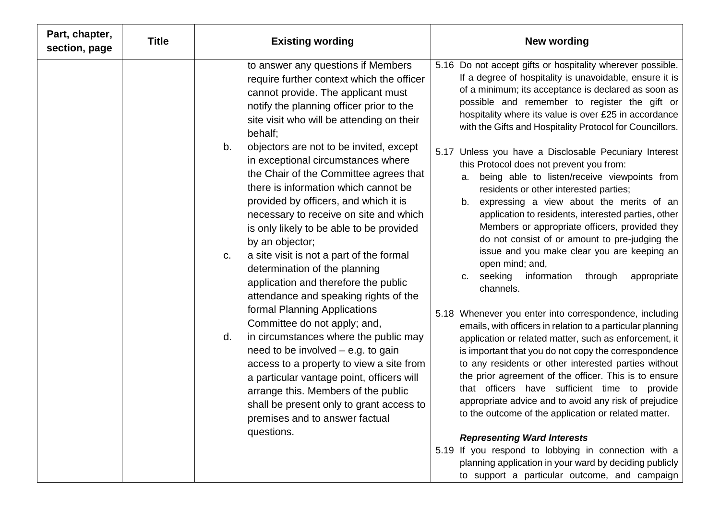| Part, chapter,<br>section, page | <b>Title</b> | <b>Existing wording</b>                                                                                                                                                                                                                                                                                                                                                                                                                                                                                                                                                                                                                                                                                                                                                                                                                                                                                                                                                                                                                                                                                     | <b>New wording</b>                                                                                                                                                                                                                                                                                                                                                                                                                                                                                                                                                                                                                                                                                                                                                                                                                                                                                                                                                                                                                                                                                                                                                                                                                                                                                                                                                                                                                                                                                                                                                                                                                                  |
|---------------------------------|--------------|-------------------------------------------------------------------------------------------------------------------------------------------------------------------------------------------------------------------------------------------------------------------------------------------------------------------------------------------------------------------------------------------------------------------------------------------------------------------------------------------------------------------------------------------------------------------------------------------------------------------------------------------------------------------------------------------------------------------------------------------------------------------------------------------------------------------------------------------------------------------------------------------------------------------------------------------------------------------------------------------------------------------------------------------------------------------------------------------------------------|-----------------------------------------------------------------------------------------------------------------------------------------------------------------------------------------------------------------------------------------------------------------------------------------------------------------------------------------------------------------------------------------------------------------------------------------------------------------------------------------------------------------------------------------------------------------------------------------------------------------------------------------------------------------------------------------------------------------------------------------------------------------------------------------------------------------------------------------------------------------------------------------------------------------------------------------------------------------------------------------------------------------------------------------------------------------------------------------------------------------------------------------------------------------------------------------------------------------------------------------------------------------------------------------------------------------------------------------------------------------------------------------------------------------------------------------------------------------------------------------------------------------------------------------------------------------------------------------------------------------------------------------------------|
|                                 |              | to answer any questions if Members<br>require further context which the officer<br>cannot provide. The applicant must<br>notify the planning officer prior to the<br>site visit who will be attending on their<br>behalf;<br>b.<br>objectors are not to be invited, except<br>in exceptional circumstances where<br>the Chair of the Committee agrees that<br>there is information which cannot be<br>provided by officers, and which it is<br>necessary to receive on site and which<br>is only likely to be able to be provided<br>by an objector;<br>a site visit is not a part of the formal<br>C.<br>determination of the planning<br>application and therefore the public<br>attendance and speaking rights of the<br>formal Planning Applications<br>Committee do not apply; and,<br>in circumstances where the public may<br>d.<br>need to be involved $-$ e.g. to gain<br>access to a property to view a site from<br>a particular vantage point, officers will<br>arrange this. Members of the public<br>shall be present only to grant access to<br>premises and to answer factual<br>questions. | 5.16 Do not accept gifts or hospitality wherever possible.<br>If a degree of hospitality is unavoidable, ensure it is<br>of a minimum; its acceptance is declared as soon as<br>possible and remember to register the gift or<br>hospitality where its value is over £25 in accordance<br>with the Gifts and Hospitality Protocol for Councillors.<br>Unless you have a Disclosable Pecuniary Interest<br>5.17<br>this Protocol does not prevent you from:<br>being able to listen/receive viewpoints from<br>a.<br>residents or other interested parties;<br>expressing a view about the merits of an<br>b.<br>application to residents, interested parties, other<br>Members or appropriate officers, provided they<br>do not consist of or amount to pre-judging the<br>issue and you make clear you are keeping an<br>open mind; and,<br>c. seeking<br>information<br>through<br>appropriate<br>channels.<br>5.18 Whenever you enter into correspondence, including<br>emails, with officers in relation to a particular planning<br>application or related matter, such as enforcement, it<br>is important that you do not copy the correspondence<br>to any residents or other interested parties without<br>the prior agreement of the officer. This is to ensure<br>that officers have sufficient time to provide<br>appropriate advice and to avoid any risk of prejudice<br>to the outcome of the application or related matter.<br><b>Representing Ward Interests</b><br>5.19 If you respond to lobbying in connection with a<br>planning application in your ward by deciding publicly<br>to support a particular outcome, and campaign |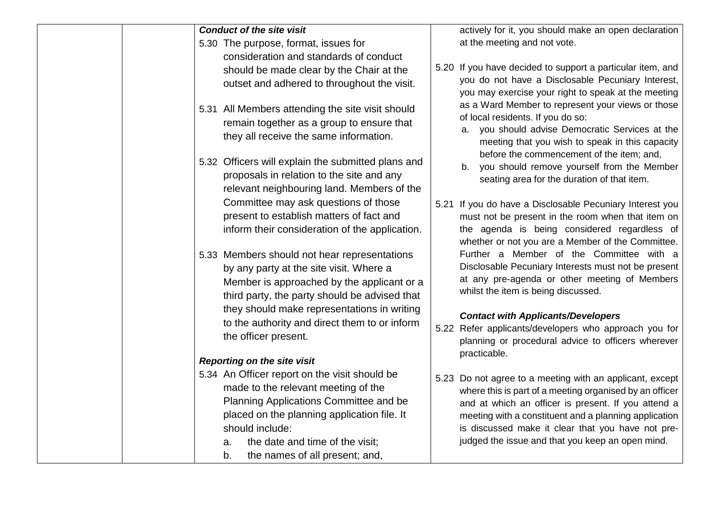| <b>Conduct of the site visit</b>                                                                                                                                                                                                                                                                                        | actively for it, you should make an open declaration                                                                                                                                                                                                                                                                                         |
|-------------------------------------------------------------------------------------------------------------------------------------------------------------------------------------------------------------------------------------------------------------------------------------------------------------------------|----------------------------------------------------------------------------------------------------------------------------------------------------------------------------------------------------------------------------------------------------------------------------------------------------------------------------------------------|
| 5.30 The purpose, format, issues for<br>consideration and standards of conduct<br>should be made clear by the Chair at the<br>outset and adhered to throughout the visit.                                                                                                                                               | at the meeting and not vote.<br>5.20 If you have decided to support a particular item, and<br>you do not have a Disclosable Pecuniary Interest,<br>you may exercise your right to speak at the meeting                                                                                                                                       |
| 5.31 All Members attending the site visit should<br>remain together as a group to ensure that<br>they all receive the same information.                                                                                                                                                                                 | as a Ward Member to represent your views or those<br>of local residents. If you do so:<br>you should advise Democratic Services at the<br>а.<br>meeting that you wish to speak in this capacity                                                                                                                                              |
| 5.32 Officers will explain the submitted plans and<br>proposals in relation to the site and any<br>relevant neighbouring land. Members of the                                                                                                                                                                           | before the commencement of the item; and,<br>you should remove yourself from the Member<br>b.<br>seating area for the duration of that item.                                                                                                                                                                                                 |
| Committee may ask questions of those<br>present to establish matters of fact and<br>inform their consideration of the application.                                                                                                                                                                                      | 5.21 If you do have a Disclosable Pecuniary Interest you<br>must not be present in the room when that item on<br>the agenda is being considered regardless of<br>whether or not you are a Member of the Committee.                                                                                                                           |
| 5.33 Members should not hear representations<br>by any party at the site visit. Where a<br>Member is approached by the applicant or a<br>third party, the party should be advised that                                                                                                                                  | Further a Member of the Committee with a<br>Disclosable Pecuniary Interests must not be present<br>at any pre-agenda or other meeting of Members<br>whilst the item is being discussed.                                                                                                                                                      |
| they should make representations in writing<br>to the authority and direct them to or inform<br>the officer present.                                                                                                                                                                                                    | <b>Contact with Applicants/Developers</b><br>5.22 Refer applicants/developers who approach you for<br>planning or procedural advice to officers wherever<br>practicable.                                                                                                                                                                     |
| <b>Reporting on the site visit</b><br>5.34 An Officer report on the visit should be<br>made to the relevant meeting of the<br>Planning Applications Committee and be<br>placed on the planning application file. It<br>should include:<br>the date and time of the visit;<br>a.<br>the names of all present; and,<br>b. | 5.23 Do not agree to a meeting with an applicant, except<br>where this is part of a meeting organised by an officer<br>and at which an officer is present. If you attend a<br>meeting with a constituent and a planning application<br>is discussed make it clear that you have not pre-<br>judged the issue and that you keep an open mind. |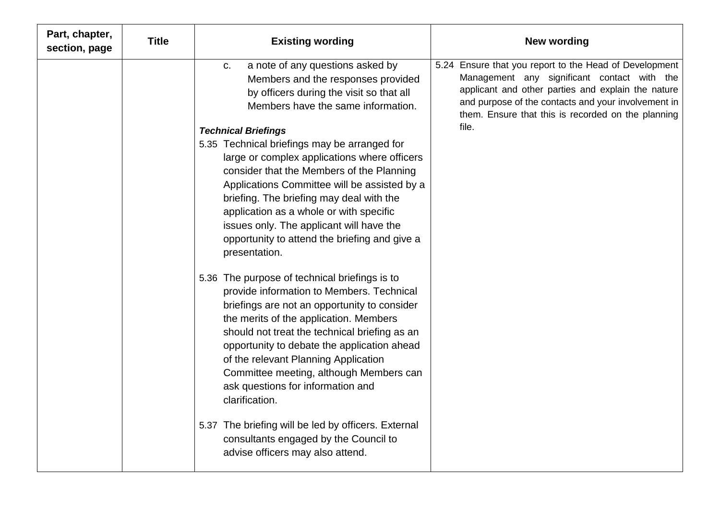| Part, chapter,<br>section, page | <b>Title</b> | <b>Existing wording</b>                                                                                                                                                                                                                                                                                                                                                                                                                                                                                                                                                    | <b>New wording</b>                                                                                                                                                                                                                                                       |
|---------------------------------|--------------|----------------------------------------------------------------------------------------------------------------------------------------------------------------------------------------------------------------------------------------------------------------------------------------------------------------------------------------------------------------------------------------------------------------------------------------------------------------------------------------------------------------------------------------------------------------------------|--------------------------------------------------------------------------------------------------------------------------------------------------------------------------------------------------------------------------------------------------------------------------|
|                                 |              | a note of any questions asked by<br>C.<br>Members and the responses provided<br>by officers during the visit so that all<br>Members have the same information.                                                                                                                                                                                                                                                                                                                                                                                                             | 5.24 Ensure that you report to the Head of Development<br>Management any significant contact with the<br>applicant and other parties and explain the nature<br>and purpose of the contacts and your involvement in<br>them. Ensure that this is recorded on the planning |
|                                 |              | <b>Technical Briefings</b><br>5.35 Technical briefings may be arranged for<br>large or complex applications where officers<br>consider that the Members of the Planning<br>Applications Committee will be assisted by a<br>briefing. The briefing may deal with the<br>application as a whole or with specific<br>issues only. The applicant will have the<br>opportunity to attend the briefing and give a<br>presentation.<br>5.36 The purpose of technical briefings is to<br>provide information to Members. Technical<br>briefings are not an opportunity to consider | file.                                                                                                                                                                                                                                                                    |
|                                 |              | the merits of the application. Members<br>should not treat the technical briefing as an<br>opportunity to debate the application ahead<br>of the relevant Planning Application<br>Committee meeting, although Members can<br>ask questions for information and<br>clarification.<br>5.37 The briefing will be led by officers. External<br>consultants engaged by the Council to<br>advise officers may also attend.                                                                                                                                                       |                                                                                                                                                                                                                                                                          |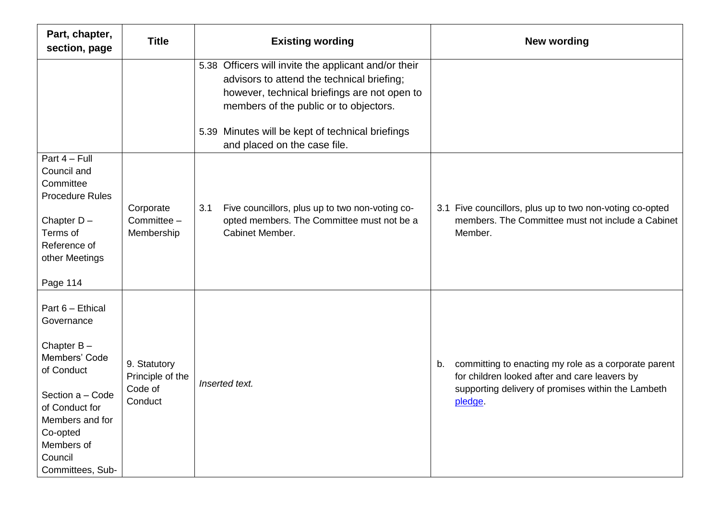| Part, chapter,<br>section, page                                                                                                                                                                  | <b>Title</b>                                           | <b>Existing wording</b>                                                                                                                                                                                                                          | <b>New wording</b>                                                                                                                                                          |
|--------------------------------------------------------------------------------------------------------------------------------------------------------------------------------------------------|--------------------------------------------------------|--------------------------------------------------------------------------------------------------------------------------------------------------------------------------------------------------------------------------------------------------|-----------------------------------------------------------------------------------------------------------------------------------------------------------------------------|
|                                                                                                                                                                                                  |                                                        | 5.38 Officers will invite the applicant and/or their<br>advisors to attend the technical briefing;<br>however, technical briefings are not open to<br>members of the public or to objectors.<br>5.39 Minutes will be kept of technical briefings |                                                                                                                                                                             |
|                                                                                                                                                                                                  |                                                        | and placed on the case file.                                                                                                                                                                                                                     |                                                                                                                                                                             |
| Part $4 -$ Full<br>Council and<br>Committee<br><b>Procedure Rules</b><br>Chapter $D -$<br>Terms of<br>Reference of<br>other Meetings<br>Page 114                                                 | Corporate<br>Committee $-$<br>Membership               | Five councillors, plus up to two non-voting co-<br>3.1<br>opted members. The Committee must not be a<br>Cabinet Member.                                                                                                                          | 3.1 Five councillors, plus up to two non-voting co-opted<br>members. The Committee must not include a Cabinet<br>Member.                                                    |
| Part 6 - Ethical<br>Governance<br>Chapter $B -$<br>Members' Code<br>of Conduct<br>Section a - Code<br>of Conduct for<br>Members and for<br>Co-opted<br>Members of<br>Council<br>Committees, Sub- | 9. Statutory<br>Principle of the<br>Code of<br>Conduct | Inserted text.                                                                                                                                                                                                                                   | committing to enacting my role as a corporate parent<br>b.<br>for children looked after and care leavers by<br>supporting delivery of promises within the Lambeth<br>pledge |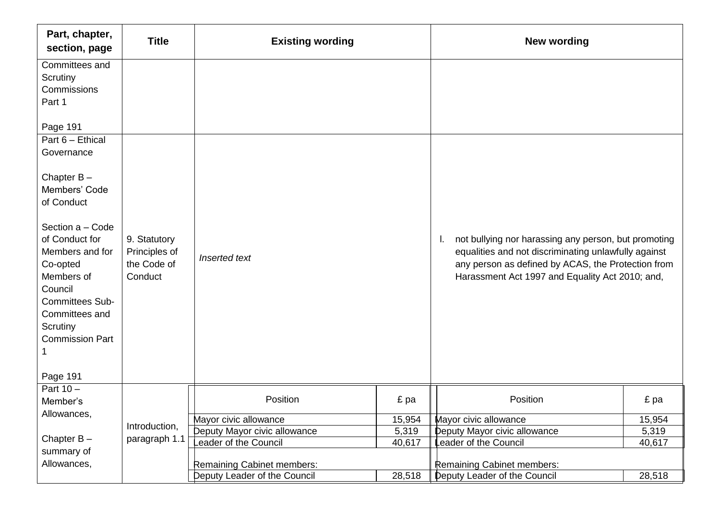| Part, chapter,<br>section, page                                                                                                                                                                                              | <b>Title</b>                                            | <b>Existing wording</b>      |        | <b>New wording</b>                                                                                                                                                                                                          |        |
|------------------------------------------------------------------------------------------------------------------------------------------------------------------------------------------------------------------------------|---------------------------------------------------------|------------------------------|--------|-----------------------------------------------------------------------------------------------------------------------------------------------------------------------------------------------------------------------------|--------|
| Committees and<br>Scrutiny<br>Commissions<br>Part 1                                                                                                                                                                          |                                                         |                              |        |                                                                                                                                                                                                                             |        |
| Page 191                                                                                                                                                                                                                     |                                                         |                              |        |                                                                                                                                                                                                                             |        |
| Part 6 - Ethical<br>Governance                                                                                                                                                                                               |                                                         |                              |        |                                                                                                                                                                                                                             |        |
| Chapter $B -$<br>Members' Code<br>of Conduct<br>Section a - Code<br>of Conduct for<br>Members and for<br>Co-opted<br>Members of<br>Council<br><b>Committees Sub-</b><br>Committees and<br>Scrutiny<br><b>Commission Part</b> | 9. Statutory<br>Principles of<br>the Code of<br>Conduct | Inserted text                |        | not bullying nor harassing any person, but promoting<br>Η.<br>equalities and not discriminating unlawfully against<br>any person as defined by ACAS, the Protection from<br>Harassment Act 1997 and Equality Act 2010; and, |        |
| Page 191                                                                                                                                                                                                                     |                                                         |                              |        |                                                                                                                                                                                                                             |        |
| Part $10 -$<br>Member's                                                                                                                                                                                                      |                                                         | Position                     | £ pa   | Position                                                                                                                                                                                                                    | £ pa   |
| Allowances,                                                                                                                                                                                                                  |                                                         | Mayor civic allowance        | 15,954 | Mayor civic allowance                                                                                                                                                                                                       | 15,954 |
|                                                                                                                                                                                                                              | Introduction,                                           | Deputy Mayor civic allowance | 5,319  | Deputy Mayor civic allowance                                                                                                                                                                                                | 5,319  |
| Chapter $B -$                                                                                                                                                                                                                | paragraph 1.1                                           | eader of the Council         | 40,617 | Leader of the Council                                                                                                                                                                                                       | 40,617 |
| summary of<br>Allowances,                                                                                                                                                                                                    |                                                         | Remaining Cabinet members:   |        | Remaining Cabinet members:                                                                                                                                                                                                  |        |
|                                                                                                                                                                                                                              |                                                         | Deputy Leader of the Council | 28,518 | Deputy Leader of the Council                                                                                                                                                                                                | 28,518 |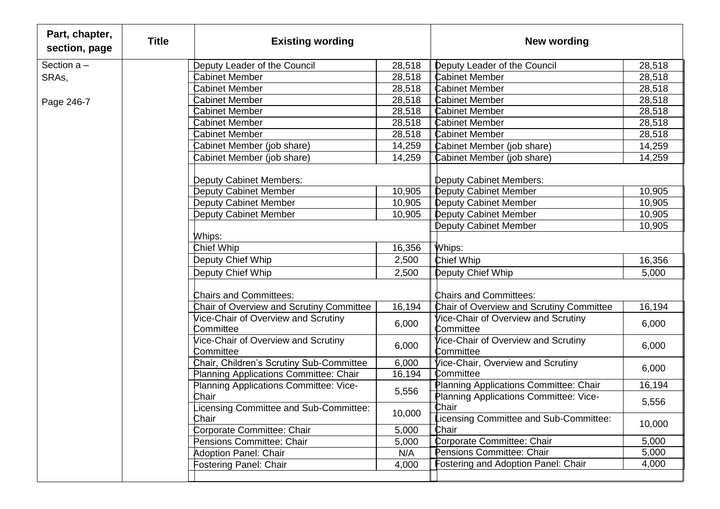| Part, chapter,<br>section, page | <b>Title</b> | <b>Existing wording</b>                          |        | <b>New wording</b>                               |        |
|---------------------------------|--------------|--------------------------------------------------|--------|--------------------------------------------------|--------|
| Section $a -$                   |              | Deputy Leader of the Council                     | 28,518 | Deputy Leader of the Council                     | 28,518 |
| SRAs,                           |              | Cabinet Member                                   | 28,518 | <b>Cabinet Member</b>                            | 28,518 |
|                                 |              | Cabinet Member                                   | 28,518 | <b>Cabinet Member</b>                            | 28,518 |
| Page 246-7                      |              | <b>Cabinet Member</b>                            | 28,518 | <b>Cabinet Member</b>                            | 28,518 |
|                                 |              | <b>Cabinet Member</b>                            | 28,518 | <b>Cabinet Member</b>                            | 28,518 |
|                                 |              | <b>Cabinet Member</b>                            | 28,518 | <b>Cabinet Member</b>                            | 28,518 |
|                                 |              | Cabinet Member                                   | 28,518 | <b>Cabinet Member</b>                            | 28,518 |
|                                 |              | Cabinet Member (job share)                       | 14,259 | Cabinet Member (job share)                       | 14,259 |
|                                 |              | Cabinet Member (job share)                       | 14,259 | Cabinet Member (job share)                       | 14,259 |
|                                 |              | Deputy Cabinet Members:                          |        | Deputy Cabinet Members:                          |        |
|                                 |              | Deputy Cabinet Member                            | 10,905 | <b>Deputy Cabinet Member</b>                     | 10,905 |
|                                 |              | Deputy Cabinet Member                            | 10,905 | <b>Deputy Cabinet Member</b>                     | 10,905 |
|                                 |              | Deputy Cabinet Member                            | 10,905 | <b>Deputy Cabinet Member</b>                     | 10,905 |
|                                 |              |                                                  |        | <b>Deputy Cabinet Member</b>                     | 10,905 |
|                                 |              | Whips:                                           |        |                                                  |        |
|                                 |              | Chief Whip                                       | 16,356 | Whips:                                           |        |
|                                 |              | Deputy Chief Whip                                | 2,500  | <b>Chief Whip</b>                                | 16,356 |
|                                 |              | Deputy Chief Whip                                | 2,500  | Deputy Chief Whip                                | 5,000  |
|                                 |              | <b>Chairs and Committees:</b>                    |        | <b>Chairs and Committees:</b>                    |        |
|                                 |              | Chair of Overview and Scrutiny Committee         | 16,194 | Chair of Overview and Scrutiny Committee         | 16,194 |
|                                 |              | Vice-Chair of Overview and Scrutiny<br>Committee | 6,000  | Vice-Chair of Overview and Scrutiny<br>Committee | 6,000  |
|                                 |              | Vice-Chair of Overview and Scrutiny<br>Committee | 6,000  | Vice-Chair of Overview and Scrutiny<br>Committee | 6,000  |
|                                 |              | Chair, Children's Scrutiny Sub-Committee         | 6,000  | Vice-Chair, Overview and Scrutiny                | 6,000  |
|                                 |              | Planning Applications Committee: Chair           | 16,194 | Committee                                        |        |
|                                 |              | Planning Applications Committee: Vice-           | 5,556  | Planning Applications Committee: Chair           | 16,194 |
|                                 |              | Chair<br>.icensing Committee and Sub-Committee:  |        | Planning Applications Committee: Vice-<br>Chair  | 5,556  |
|                                 |              | Chair                                            | 10,000 | Licensing Committee and Sub-Committee:           |        |
|                                 |              | Corporate Committee: Chair                       | 5,000  | Chair                                            | 10,000 |
|                                 |              | Pensions Committee: Chair                        | 5,000  | Corporate Committee: Chair                       | 5,000  |
|                                 |              | <b>Adoption Panel: Chair</b>                     | N/A    | Pensions Committee: Chair                        | 5,000  |
|                                 |              | Fostering Panel: Chair                           | 4,000  | Fostering and Adoption Panel: Chair              | 4,000  |
|                                 |              |                                                  |        |                                                  |        |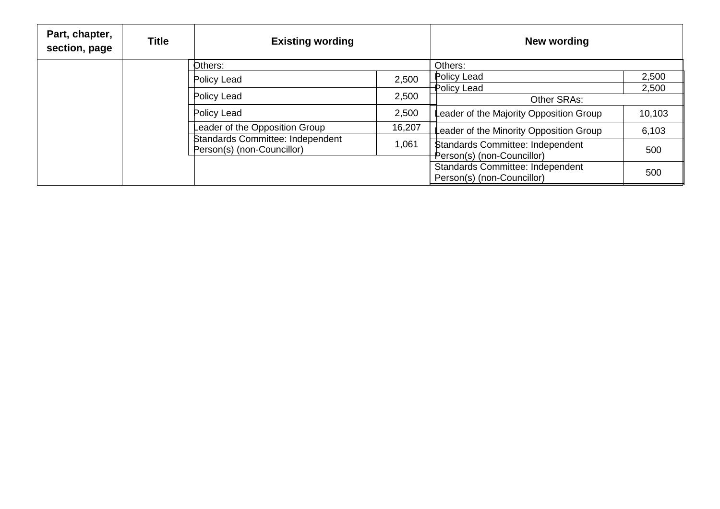| Part, chapter,<br>section, page | <b>Title</b> | <b>Existing wording</b>                                               |        | New wording                                                            |        |
|---------------------------------|--------------|-----------------------------------------------------------------------|--------|------------------------------------------------------------------------|--------|
|                                 |              | Others:                                                               |        | Others:                                                                |        |
|                                 |              | Policy Lead                                                           | 2,500  | Policy Lead                                                            | 2,500  |
|                                 |              |                                                                       |        | Policy Lead                                                            | 2,500  |
|                                 |              | Policy Lead                                                           | 2,500  | Other SRAs:                                                            |        |
|                                 |              | Policy Lead                                                           | 2,500  | Leader of the Majority Opposition Group                                | 10,103 |
|                                 |              | Leader of the Opposition Group                                        | 16,207 | Leader of the Minority Opposition Group                                | 6,103  |
|                                 |              | <b>Standards Committee: Independent</b><br>Person(s) (non-Councillor) | 1,061  | <b>\$tandards Committee: Independent</b><br>Person(s) (non-Councillor) | 500    |
|                                 |              |                                                                       |        | <b>Standards Committee: Independent</b><br>Person(s) (non-Councillor)  | 500    |